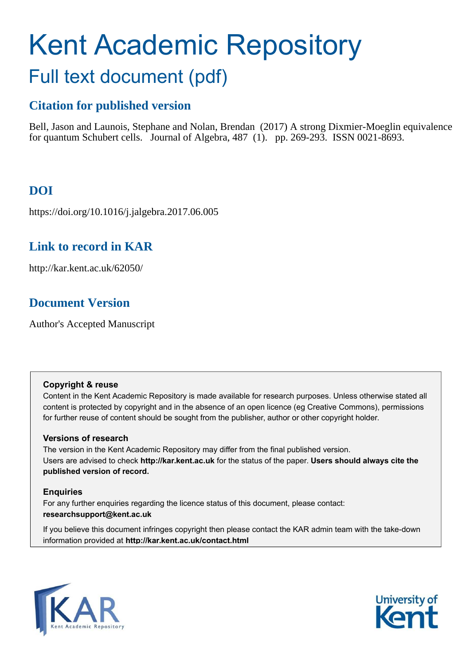# Kent Academic Repository Full text document (pdf)

# **Citation for published version**

Bell, Jason and Launois, Stephane and Nolan, Brendan (2017) A strong Dixmier-Moeglin equivalence for quantum Schubert cells. Journal of Algebra, 487 (1). pp. 269-293. ISSN 0021-8693.

# **DOI**

https://doi.org/10.1016/j.jalgebra.2017.06.005

# **Link to record in KAR**

http://kar.kent.ac.uk/62050/

# **Document Version**

Author's Accepted Manuscript

### **Copyright & reuse**

Content in the Kent Academic Repository is made available for research purposes. Unless otherwise stated all content is protected by copyright and in the absence of an open licence (eg Creative Commons), permissions for further reuse of content should be sought from the publisher, author or other copyright holder.

### **Versions of research**

The version in the Kent Academic Repository may differ from the final published version. Users are advised to check **http://kar.kent.ac.uk** for the status of the paper. **Users should always cite the published version of record.**

### **Enquiries**

For any further enquiries regarding the licence status of this document, please contact: **researchsupport@kent.ac.uk**

If you believe this document infringes copyright then please contact the KAR admin team with the take-down information provided at **http://kar.kent.ac.uk/contact.html**



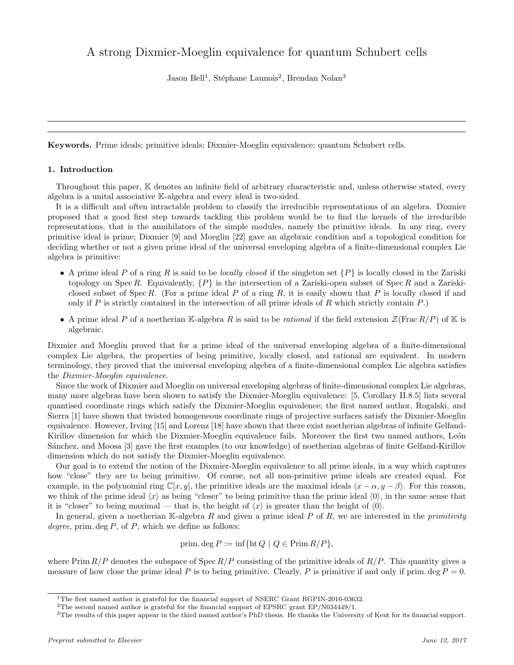## A strong Dixmier-Moeglin equivalence for quantum Schubert cells

Jason Bell<sup>1</sup>, Stéphane Launois<sup>2</sup>, Brendan Nolan<sup>3</sup>

Keywords. Prime ideals; primitive ideals; Dixmier-Moeglin equivalence; quantum Schubert cells.

#### 1. Introduction

Throughout this paper, K denotes an infinite field of arbitrary characteristic and, unless otherwise stated, every algebra is a unital associative K-algebra and every ideal is two-sided.

It is a difficult and often intractable problem to classify the irreducible representations of an algebra. Dixmier proposed that a good first step towards tackling this problem would be to find the kernels of the irreducible representations, that is the annihilators of the simple modules, namely the primitive ideals. In any ring, every primitive ideal is prime; Dixmier [\[9\]](#page-13-0) and Moeglin [\[22\]](#page-14-0) gave an algebraic condition and a topological condition for deciding whether or not a given prime ideal of the universal enveloping algebra of a finite-dimensional complex Lie algebra is primitive:

- A prime ideal P of a ring R is said to be locally closed if the singleton set  $\{P\}$  is locally closed in the Zariski topology on Spec R. Equivalently,  $\{P\}$  is the intersection of a Zariski-open subset of Spec R and a Zariskiclosed subset of Spec R. (For a prime ideal P of a ring R, it is easily shown that P is locally closed if and only if P is strictly contained in the intersection of all prime ideals of R which strictly contain  $P$ .)
- A prime ideal P of a noetherian K-algebra R is said to be *rational* if the field extension  $\mathcal{Z}(\text{Frac }R/P)$  of K is algebraic.

Dixmier and Moeglin proved that for a prime ideal of the universal enveloping algebra of a finite-dimensional complex Lie algebra, the properties of being primitive, locally closed, and rational are equivalent. In modern terminology, they proved that the universal enveloping algebra of a finite-dimensional complex Lie algebra satisfies the Dixmier-Moeglin equivalence.

Since the work of Dixmier and Moeglin on universal enveloping algebras of finite-dimensional complex Lie algebras, many more algebras have been shown to satisfy the Dixmier-Moeglin equivalence: [\[5,](#page-13-1) Corollary II.8.5] lists several quantised coordinate rings which satisfy the Dixmier-Moeglin equivalence; the first named author, Rogalski, and Sierra [\[1\]](#page-13-2) have shown that twisted homogeneous coordinate rings of projective surfaces satisfy the Dixmier-Moeglin equivalence. However, Irving [\[15\]](#page-14-1) and Lorenz [\[18\]](#page-14-2) have shown that there exist noetherian algebras of infinite Gelfand-Kirillov dimension for which the Dixmier-Moeglin equivalence fails. Moreover the first two named authors, León Sánchez, and Moosa [\[3\]](#page-13-3) gave the first examples (to our knowledge) of noetherian algebras of finite Gelfand-Kirillov dimension which do not satisfy the Dixmier-Moeglin equivalence.

Our goal is to extend the notion of the Dixmier-Moeglin equivalence to all prime ideals, in a way which captures how "close" they are to being primitive. Of course, not all non-primitive prime ideals are created equal. For example, in the polynomial ring  $\mathbb{C}[x, y]$ , the primitive ideals are the maximal ideals  $\langle x - \alpha, y - \beta \rangle$ . For this reason, we think of the prime ideal  $\langle x \rangle$  as being "closer" to being primitive than the prime ideal  $\langle 0 \rangle$ , in the same sense that it is "closer" to being maximal — that is, the height of  $\langle x \rangle$  is greater than the height of  $\langle 0 \rangle$ .

In general, given a noetherian K-algebra R and given a prime ideal P of R, we are interested in the *primitivity* degree, prim. deg  $P$ , of  $P$ , which we define as follows:

prim. deg 
$$
P := \inf \{ \text{ht } Q \mid Q \in \text{Prim } R/P \},\
$$

where Prim  $R/P$  denotes the subspace of Spec  $R/P$  consisting of the primitive ideals of  $R/P$ . This quantity gives a measure of how close the prime ideal P is to being primitive. Clearly, P is primitive if and only if prim. deg  $P = 0$ .

<sup>&</sup>lt;sup>1</sup>The first named author is grateful for the financial support of NSERC Grant RGPIN-2016-03632.

<sup>2</sup>The second named author is grateful for the financial support of EPSRC grant EP/N034449/1.

<sup>3</sup>The results of this paper appear in the third named author's PhD thesis. He thanks the University of Kent for its financial support.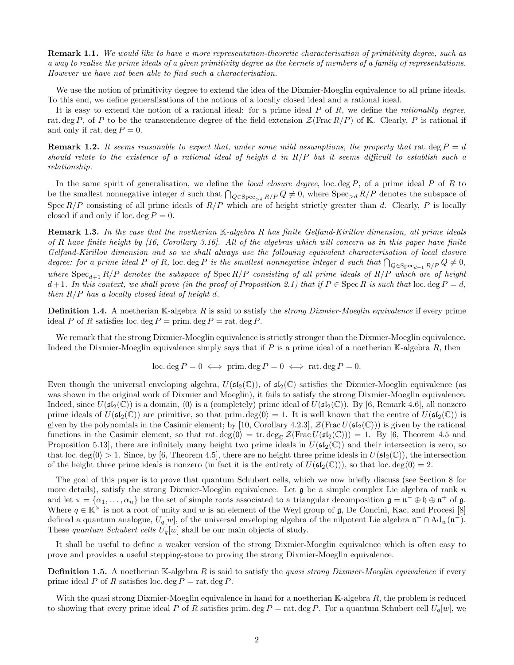**Remark 1.1.** We would like to have a more representation-theoretic characterisation of primitivity degree, such as a way to realise the prime ideals of a given primitivity degree as the kernels of members of a family of representations. However we have not been able to find such a characterisation.

We use the notion of primitivity degree to extend the idea of the Dixmier-Moeglin equivalence to all prime ideals. To this end, we define generalisations of the notions of a locally closed ideal and a rational ideal.

It is easy to extend the notion of a rational ideal: for a prime ideal  $P$  of  $R$ , we define the *rationality degree*, rat. deg P, of P to be the transcendence degree of the field extension  $\mathcal{Z}(\text{Frac } R/P)$  of K. Clearly, P is rational if and only if rat. deg  $P=0$ .

**Remark 1.2.** It seems reasonable to expect that, under some mild assumptions, the property that rat. deg  $P = d$ should relate to the existence of a rational ideal of height d in R/P but it seems difficult to establish such a relationship.

In the same spirit of generalisation, we define the *local closure degree*, loc. deg  $P$ , of a prime ideal  $P$  of  $R$  to be the smallest nonnegative integer d such that  $\bigcap_{Q \in \text{Spec}_{> d} R/P} Q \neq 0$ , where  $\text{Spec}_{> d} R/P$  denotes the subspace of Spec  $R/P$  consisting of all prime ideals of  $R/P$  which are of height strictly greater than d. Clearly, P is locally closed if and only if loc. deg  $P = 0$ .

<span id="page-2-1"></span>**Remark 1.3.** In the case that the noetherian  $\mathbb{K}$ -algebra R has finite Gelfand-Kirillov dimension, all prime ideals of R have finite height by  $(16, Corollary 3.16)$ . All of the algebras which will concern us in this paper have finite Gelfand-Kirillov dimension and so we shall always use the following equivalent characterisation of local closure degree: for a prime ideal P of R, loc. deg P is the smallest nonnegative integer d such that  $\bigcap_{Q \in \text{Spec}_{d+1} R/P} Q \neq 0$ , where  $Spec_{d+1} R/P$  denotes the subspace of  $Spec R/P$  consisting of all prime ideals of  $R/P$  which are of height d+1. In this context, we shall prove (in the proof of Proposition [2.1\)](#page-2-0) that if  $P \in \text{Spec } R$  is such that loc. deg  $P = d$ , then  $R/P$  has a locally closed ideal of height d.

**Definition 1.4.** A noetherian K-algebra R is said to satisfy the *strong Dixmier-Moeglin equivalence* if every prime ideal P of R satisfies loc. deg  $P = \text{prim.} \deg P = \text{rat.} \deg P$ .

We remark that the strong Dixmier-Moeglin equivalence is strictly stronger than the Dixmier-Moeglin equivalence. Indeed the Dixmier-Moeglin equivalence simply says that if P is a prime ideal of a noetherian K-algebra  $R$ , then

<span id="page-2-2"></span>
$$
loc. deg P = 0 \iff prim. deg P = 0 \iff rat. deg P = 0.
$$

<span id="page-2-0"></span>Even though the universal enveloping algebra,  $U(\mathfrak{sl}_2(\mathbb{C}))$ , of  $\mathfrak{sl}_2(\mathbb{C})$  satisfies the Dixmier-Moeglin equivalence (as was shown in the original work of Dixmier and Moeglin), it fails to satisfy the strong Dixmier-Moeglin equivalence. Indeed, since  $U(\mathfrak{sl}_2(\mathbb{C}))$  is a domain,  $\langle 0 \rangle$  is a (completely) prime ideal of  $U(\mathfrak{sl}_2(\mathbb{C}))$ . By [\[6,](#page-13-4) Remark 4.6], all nonzero prime ideals of  $U(\mathfrak{sl}_2(\mathbb{C}))$  are primitive, so that prim. deg $\langle 0 \rangle = 1$ . It is well known that the centre of  $U(\mathfrak{sl}_2(\mathbb{C}))$  is given by the polynomials in the Casimir element; by [\[10,](#page-13-5) Corollary 4.2.3],  $\mathcal{Z}(\text{Frac }U(\mathfrak{sl}_2(\mathbb{C})))$  is given by the rational functions in the Casimir element, so that rat.  $\deg_0 \geq \text{tr. deg}_{\mathbb{C}} \mathcal{Z}(\text{Frac }U(\mathfrak{sl}_2(\mathbb{C}))) = 1$ . By [\[6,](#page-13-4) Theorem 4.5 and Proposition 5.13, there are infinitely many height two prime ideals in  $U(\mathfrak{sl}_2(\mathbb{C}))$  and their intersection is zero, so that loc. deg $\langle 0 \rangle > 1$ . Since, by [\[6,](#page-13-4) Theorem 4.5], there are no height three prime ideals in  $U(\mathfrak{sl}_2(\mathbb{C}))$ , the intersection of the height three prime ideals is nonzero (in fact it is the entirety of  $U(\mathfrak{sl}_2(\mathbb{C}))$ ), so that loc. deg $\langle 0 \rangle = 2$ .

The goal of this paper is to prove that quantum Schubert cells, which we now briefly discuss (see Section [8](#page-11-0) for more details), satisfy the strong Dixmier-Moeglin equivalence. Let  $\mathfrak g$  be a simple complex Lie algebra of rank n and let  $\pi = {\alpha_1, \ldots, \alpha_n}$  be the set of simple roots associated to a triangular decomposition  $\mathfrak{g} = \mathfrak{n}^- \oplus \mathfrak{h} \oplus \mathfrak{n}^+$  of  $\mathfrak{g}$ . Where  $q \in K^{\times}$  is not a root of unity and w is an element of the Weyl group of g, De Concini, Kac, and Procesi [\[8\]](#page-13-6) defined a quantum analogue,  $U_q[w]$ , of the universal enveloping algebra of the nilpotent Lie algebra  $\mathfrak{n}^+ \cap \text{Ad}_w(\mathfrak{n}^-)$ . These quantum Schubert cells  $U_q[w]$  shall be our main objects of study.

It shall be useful to define a weaker version of the strong Dixmier-Moeglin equivalence which is often easy to prove and provides a useful stepping-stone to proving the strong Dixmier-Moeglin equivalence.

**Definition 1.5.** A noetherian K-algebra R is said to satisfy the quasi strong Dixmier-Moeglin equivalence if every prime ideal P of R satisfies loc. deg  $P = \text{rat. deg } P$ .

With the quasi strong Dixmier-Moeglin equivalence in hand for a noetherian  $K$ -algebra  $R$ , the problem is reduced to showing that every prime ideal P of R satisfies prim. deg P = rat. deg P. For a quantum Schubert cell  $U_q[w]$ , we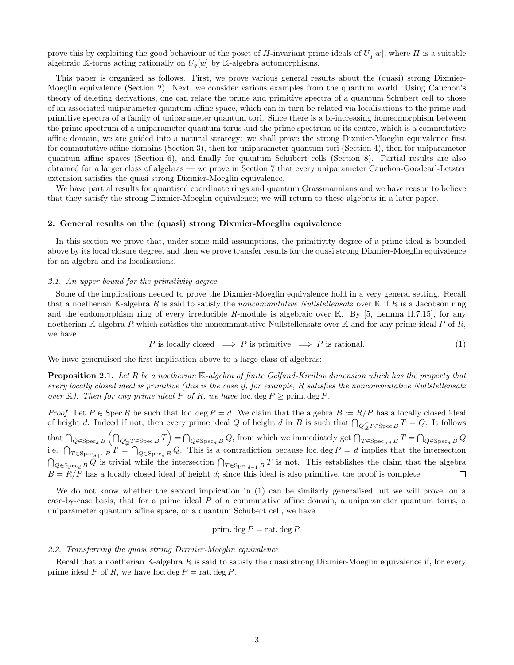<span id="page-3-2"></span>prove this by exploiting the good behaviour of the poset of H-invariant prime ideals of  $U_q[w]$ , where H is a suitable algebraic K-torus acting rationally on  $U_q[w]$  by K-algebra automorphisms.

This paper is organised as follows. First, we prove various general results about the (quasi) strong Dixmier-Moeglin equivalence (Section [2\)](#page-2-1). Next, we consider various examples from the quantum world. Using Cauchon's theory of deleting derivations, one can relate the prime and primitive spectra of a quantum Schubert cell to those of an associated uniparameter quantum affine space, which can in turn be related via localisations to the prime and primitive spectra of a family of uniparameter quantum tori. Since there is a bi-increasing homeomorphism between the prime spectrum of a uniparameter quantum torus and the prime spectrum of its centre, which is a commutative affine domain, we are guided into a natural strategy: we shall prove the strong Dixmier-Moeglin equivalence first for commutative affine domains (Section [3\)](#page-4-0), then for uniparameter quantum tori (Section [4\)](#page-4-1), then for uniparameter quantum affine spaces (Section [6\)](#page-7-0), and finally for quantum Schubert cells (Section [8\)](#page-11-0). Partial results are also obtained for a larger class of algebras — we prove in Section [7](#page-9-0) that every uniparameter Cauchon-Goodearl-Letzter extension satisfies the quasi strong Dixmier-Moeglin equivalence.

<span id="page-3-1"></span>We have partial results for quantised coordinate rings and quantum Grassmannians and we have reason to believe that they satisfy the strong Dixmier-Moeglin equivalence; we will return to these algebras in a later paper.

#### <span id="page-3-0"></span>2. General results on the (quasi) strong Dixmier-Moeglin equivalence

In this section we prove that, under some mild assumptions, the primitivity degree of a prime ideal is bounded above by its local closure degree, and then we prove transfer results for the quasi strong Dixmier-Moeglin equivalence for an algebra and its localisations.

#### <span id="page-3-4"></span>2.1. An upper bound for the primitivity degree

Some of the implications needed to prove the Dixmier-Moeglin equivalence hold in a very general setting. Recall that a noetherian K-algebra R is said to satisfy the *noncommutative Nullstellensatz* over K if R is a Jacobson ring and the endomorphism ring of every irreducible R-module is algebraic over K. By  $[5, \text{ Lemma II.7.15}]$ , for any noetherian K-algebra R which satisfies the noncommutative Nullstellensatz over K and for any prime ideal P of R, we have

$$
P \text{ is locally closed } \implies P \text{ is primitive } \implies P \text{ is rational.} \tag{1}
$$

We have generalised the first implication above to a large class of algebras:

**Proposition 2.1.** Let R be a noetherian  $\mathbb{K}\text{-}algebra$  of finite Gelfand-Kirillov dimension which has the property that every locally closed ideal is primitive (this is the case if, for example, R satisfies the noncommutative Nullstellensatz over K). Then for any prime ideal P of R, we have loc. deg  $P \ge \text{prim. deg } P$ .

<span id="page-3-3"></span>*Proof.* Let  $P \in \text{Spec } R$  be such that loc. deg  $P = d$ . We claim that the algebra  $B := R/P$  has a locally closed ideal of height d. Indeed if not, then every prime ideal Q of height d in B is such that  $\bigcap_{Q \subsetneq T \in \text{Spec } B} T = Q$ . It follows that  $\bigcap_{Q \in \text{Spec}_d B} \left( \bigcap_{Q \subsetneq T \in \text{Spec } B} T \right) = \bigcap_{Q \in \text{Spec}_d B} Q$ , from which we immediately get  $\bigcap_{T \in \text{Spec}_d B} T = \bigcap_{Q \in \text{Spec}_d B} Q$ i.e.  $\bigcap_{T \in \text{Spec}_{d+1} B} T = \bigcap_{Q \in \text{Spec}_d B} Q$ . This is a contradiction because loc. deg  $P = d$  implies that the intersection  $\bigcap_{Q \in \text{Spec}_d B} Q$  is trivial while the intersection  $\bigcap_{T \in \text{Spec}_{d+1} B} T$  is not. This establishes the claim that the algebra  $B = R/P$  has a locally closed ideal of height d; since this ideal is also primitive, the proof is complete. □

We do not know whether the second implication in [\(1\)](#page-2-2) can be similarly generalised but we will prove, on a case-by-case basis, that for a prime ideal P of a commutative affine domain, a uniparameter quantum torus, a uniparameter quantum affine space, or a quantum Schubert cell, we have

prim. deg 
$$
P
$$
 = rat. deg  $P$ .

#### 2.2. Transferring the quasi strong Dixmier-Moeglin equivalence

Recall that a noetherian K-algebra  $R$  is said to satisfy the quasi strong Dixmier-Moeglin equivalence if, for every prime ideal P of R, we have loc. deg  $P = \text{rat. deg } P$ .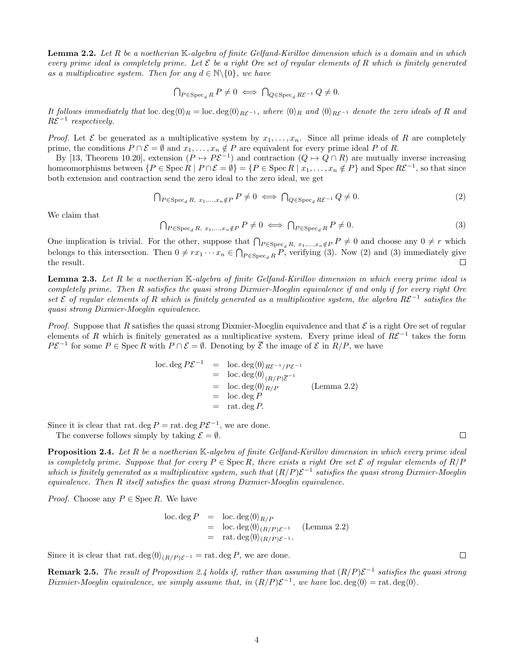<span id="page-4-0"></span>**Lemma 2.2.** Let R be a noetherian  $\mathbb{K}\text{-}algebra$  of finite Gelfand-Kirillov dimension which is a domain and in which every prime ideal is completely prime. Let  $\mathcal E$  be a right Ore set of regular elements of R which is finitely generated as a multiplicative system. Then for any  $d \in \mathbb{N} \backslash \{0\}$ , we have

$$
\bigcap_{P \in \operatorname{Spec}_d R} P \neq 0 \iff \bigcap_{Q \in \operatorname{Spec}_d R\mathcal{E}^{-1}} Q \neq 0.
$$

It follows immediately that loc. deg $\langle 0 \rangle_R = \text{loc. deg} \langle 0 \rangle_{R\mathcal{E}^{-1}}$ , where  $\langle 0 \rangle_R$  and  $\langle 0 \rangle_{R\mathcal{E}^{-1}}$  denote the zero ideals of R and  $R\mathcal{E}^{-1}$  respectively.

*Proof.* Let  $\mathcal E$  be generated as a multiplicative system by  $x_1, \ldots, x_n$ . Since all prime ideals of R are completely prime, the conditions  $P \cap \mathcal{E} = \emptyset$  and  $x_1, \ldots, x_n \notin P$  are equivalent for every prime ideal P of R.

By [\[13,](#page-14-4) Theorem 10.20], extension  $(P \mapsto P\mathcal{E}^{-1})$  and contraction  $(Q \mapsto Q \cap R)$  are mutually inverse increasing homeomorphisms between  $\{P \in \text{Spec } R \mid P \cap \mathcal{E} = \emptyset\} = \{P \in \text{Spec } R \mid x_1, \ldots, x_n \notin P\}$  and  $\text{Spec } R\mathcal{E}^{-1}$ , so that since both extension and contraction send the zero ideal to the zero ideal, we get

$$
\bigcap_{P \in \operatorname{Spec}_d R, x_1, \dots, x_n \notin P} P \neq 0 \iff \bigcap_{Q \in \operatorname{Spec}_d R \mathcal{E}^{-1}} Q \neq 0. \tag{2}
$$

<span id="page-4-3"></span>We claim that

<span id="page-4-2"></span>
$$
\bigcap_{P \in \operatorname{Spec}_d R, x_1, \dots, x_n \notin P} P \neq 0 \iff \bigcap_{P \in \operatorname{Spec}_d R} P \neq 0. \tag{3}
$$

One implication is trivial. For the other, suppose that  $\bigcap_{P \in \text{Spec}_d R, x_1, ..., x_n \notin P} P \neq 0$  and choose any  $0 \neq r$  which belongs to this intersection. Then  $0 \neq rx_1 \cdots x_n \in \bigcap_{P \in \text{Spec}_d R} P$ , verifying [\(3\)](#page-3-0). Now [\(2\)](#page-3-1) and (3) immediately give the result.

**Lemma 2.3.** Let R be a noetherian  $\mathbb{K}$ -algebra of finite Gelfand-Kirillov dimension in which every prime ideal is completely prime. Then R satisfies the quasi strong Dixmier-Moeglin equivalence if and only if for every right Ore set  $\mathcal E$  of regular elements of R which is finitely generated as a multiplicative system, the algebra  $R\mathcal E^{-1}$  satisfies the quasi strong Dixmier-Moeglin equivalence.

*Proof.* Suppose that R satisfies the quasi strong Dixmier-Moeglin equivalence and that  $\mathcal E$  is a right Ore set of regular elements of R which is finitely generated as a multiplicative system. Every prime ideal of  $R\mathcal{E}^{-1}$  takes the form  $P\mathcal{E}^{-1}$  for some  $P \in \text{Spec } R$  with  $P \cap \mathcal{E} = \emptyset$ . Denoting by  $\overline{\mathcal{E}}$  the image of  $\mathcal{E}$  in  $R/P$ , we have

$$
\begin{array}{rcl}\n\text{loc. deg } P \mathcal{E}^{-1} & = & \text{loc. deg} \langle 0 \rangle_{R \mathcal{E}^{-1} / P \mathcal{E}^{-1}} \\
& = & \text{loc. deg} \langle 0 \rangle_{(R/P) \overline{\mathcal{E}}^{-1}} \\
& = & \text{loc. deg} \langle 0 \rangle_{R/P} \\
& = & \text{loc. deg } P \\
& = & \text{rat. deg } P.\n\end{array} \tag{Lemma 2.2}
$$

<span id="page-4-4"></span>Since it is clear that rat. deg  $P = \text{rat.}$  deg  $P\mathcal{E}^{-1}$ , we are done.

The converse follows simply by taking  $\mathcal{E} = \emptyset$ .

<span id="page-4-1"></span>**Proposition 2.4.** Let R be a noetherian  $\mathbb{K}\text{-}algebra$  of finite Gelfand-Kirillov dimension in which every prime ideal is completely prime. Suppose that for every  $P \in \text{Spec } R$ , there exists a right Ore set  $\mathcal E$  of regular elements of  $R/P$ which is finitely generated as a multiplicative system, such that  $(R/P)\mathcal{E}^{-1}$  satisfies the quasi strong Dixmier-Moeglin equivalence. Then R itself satisfies the quasi strong Dixmier-Moeglin equivalence.

*Proof.* Choose any  $P \in \text{Spec } R$ . We have

$$
\begin{array}{rcl}\n\text{loc. deg } P & = & \text{loc. deg} \langle 0 \rangle_{R/P} \\
& = & \text{loc. deg} \langle 0 \rangle_{(R/P)\mathcal{E}^{-1}} \quad \text{(Lemma 2.2)} \\
& = & \text{rat. deg} \langle 0 \rangle_{(R/P)\mathcal{E}^{-1}}.\n\end{array}
$$

Since it is clear that rat. deg $\langle 0 \rangle_{(R/P){\cal E}^{-1}} =$  rat. deg P, we are done.

**Remark 2.5.** The result of Proposition [2.4](#page-3-3) holds if, rather than assuming that  $(R/P)\mathcal{E}^{-1}$  satisfies the quasi strong Dixmier-Moeglin equivalence, we simply assume that, in  $(R/P)\mathcal{E}^{-1}$ , we have loc.  $\deg(0) = \text{rat. deg}(0)$ .

 $\Box$ 

 $\Box$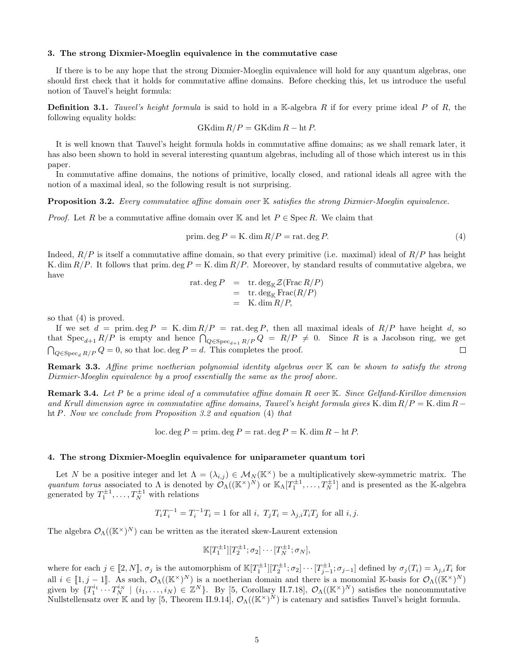#### 3. The strong Dixmier-Moeglin equivalence in the commutative case

If there is to be any hope that the strong Dixmier-Moeglin equivalence will hold for any quantum algebras, one should first check that it holds for commutative affine domains. Before checking this, let us introduce the useful notion of Tauvel's height formula:

**Definition 3.1.** Tauvel's height formula is said to hold in a K-algebra R if for every prime ideal P of R, the following equality holds:

$$
GK\dim R/P = GK\dim R - \operatorname{ht} P.
$$

It is well known that Tauvel's height formula holds in commutative affine domains; as we shall remark later, it has also been shown to hold in several interesting quantum algebras, including all of those which interest us in this paper.

In commutative affine domains, the notions of primitive, locally closed, and rational ideals all agree with the notion of a maximal ideal, so the following result is not surprising.

<span id="page-5-1"></span>**Proposition 3.2.** Every commutative affine domain over K satisfies the strong Dixmier-Moeglin equivalence.

*Proof.* Let R be a commutative affine domain over K and let  $P \in \text{Spec } R$ . We claim that

$$
prim. deg P = K. dim R/P = rat. deg P.
$$
\n(4)

<span id="page-5-2"></span>Indeed,  $R/P$  is itself a commutative affine domain, so that every primitive (i.e. maximal) ideal of  $R/P$  has height K. dim  $R/P$ . It follows that prim. deg  $P = K$ . dim  $R/P$ . Moreover, by standard results of commutative algebra, we have

$$
\begin{array}{rcl}\n\text{rat. deg } P & = & \text{tr. deg}_{\mathbb{K}} \mathcal{Z}(\text{Frac } R/P) \\
& = & \text{tr. deg}_{\mathbb{K}} \text{Frac}(R/P) \\
& = & \text{K. dim } R/P,\n\end{array}
$$

so that [\(4\)](#page-4-2) is proved.

If we set  $d = \text{prim. deg } P = K \cdot \dim R/P = \text{rat. deg } P$ , then all maximal ideals of  $R/P$  have height d, so that  $Spec_{d+1} R/P$  is empty and hence  $\bigcap_{Q \in Spec_{d+1} R/P} Q = R/P \neq 0$ . Since R is a Jacobson ring, we get  $\bigcap_{Q \in \text{Spec}_d R/P} Q = 0$ , so that loc. deg  $P = d$ . This completes the proof.

<span id="page-5-3"></span>**Remark 3.3.** Affine prime noetherian polynomial identity algebras over  $K$  can be shown to satisfy the strong Dixmier-Moeglin equivalence by a proof essentially the same as the proof above.

**Remark 3.4.** Let P be a prime ideal of a commutative affine domain R over  $\mathbb{K}$ . Since Gelfand-Kirillov dimension and Krull dimension agree in commutative affine domains, Tauvel's height formula gives K. dim  $R/P = K$ . dim  $R - \epsilon$ ht P. Now we conclude from Proposition [3.2](#page-4-3) and equation [\(4\)](#page-4-2) that

loc. deg  $P = \text{prim. deg } P = \text{rat. deg } P = \text{K. dim } R - \text{ht } P$ .

#### 4. The strong Dixmier-Moeglin equivalence for uniparameter quantum tori

Let N be a positive integer and let  $\Lambda = (\lambda_{i,j}) \in M_N(\mathbb{K}^\times)$  be a multiplicatively skew-symmetric matrix. The quantum torus associated to  $\Lambda$  is denoted by  $\mathcal{O}_{\Lambda}((\mathbb{K}^{\times})^N)$  or  $\mathbb{K}_{\Lambda}[T_1^{\pm 1},...,T_N^{\pm 1}]$  and is presented as the K-algebra generated by  $T_1^{\pm 1}, \ldots, T_N^{\pm 1}$  with relations

$$
T_i T_i^{-1} = T_i^{-1} T_i = 1
$$
 for all  $i, T_j T_i = \lambda_{j,i} T_i T_j$  for all  $i, j$ .

The algebra  $\mathcal{O}_{\Lambda}((\mathbb{K}^{\times})^N)$  can be written as the iterated skew-Laurent extension

$$
\mathbb{K}[T_1^{\pm 1}][T_2^{\pm 1}; \sigma_2] \cdots [T_N^{\pm 1}; \sigma_N],
$$

<span id="page-5-0"></span>where for each  $j \in [2, N]$ ,  $\sigma_j$  is the automorphism of  $\mathbb{K}[T_1^{\pm 1}][T_2^{\pm 1}; \sigma_2] \cdots [T_{j-1}^{\pm 1}; \sigma_{j-1}]$  defined by  $\sigma_j(T_i) = \lambda_{j,i} T_i$  for all  $i \in [1, j-1]$ . As such,  $\mathcal{O}_{\Lambda}((\mathbb{K}^{\times})^N)$  is a noetherian domain and there is a monomial K-basis for  $\mathcal{O}_{\Lambda}((\mathbb{K}^{\times})^N)$ given by  $\{T_1^{i_1} \cdots T_N^{i_N} \mid (i_1,\ldots,i_N) \in \mathbb{Z}^N\}$ . By [\[5,](#page-13-1) Corollary II.7.18],  $\mathcal{O}_{\Lambda}((\mathbb{K}^{\times})^N)$  satisfies the noncommutative Nullstellensatz over K and by [\[5,](#page-13-1) Theorem II.9.14],  $\mathcal{O}_\Lambda((\mathbb{K}^\times)^N)$  is catenary and satisfies Tauvel's height formula.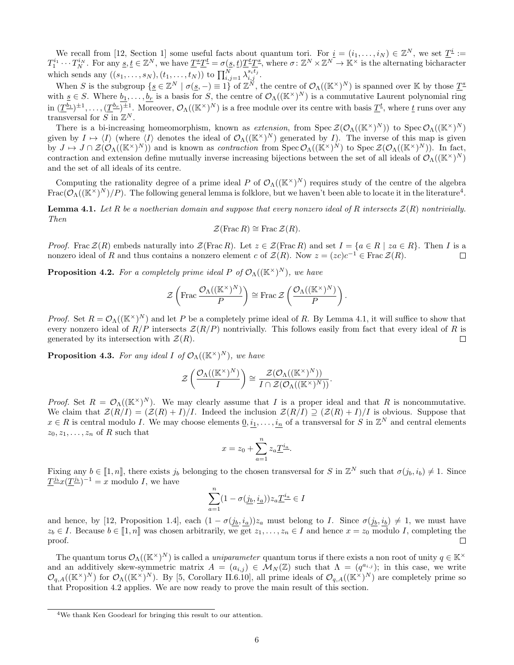<span id="page-6-0"></span>We recall from [\[12,](#page-14-5) Section 1] some useful facts about quantum tori. For  $\underline{i} = (i_1, \ldots, i_N) \in \mathbb{Z}^N$ , we set  $\underline{T}^{\underline{i}} :=$  $T_1^{i_1} \cdots T_N^{i_N}$ . For any  $\underline{s}, \underline{t} \in \mathbb{Z}^N$ , we have  $\underline{T}^{\underline{s}}\underline{T}^{\underline{t}} = \sigma(\underline{s}, \underline{t})\underline{T}^{\underline{t}}\underline{T}^{\underline{s}}$ , where  $\sigma \colon \mathbb{Z}^N \times \mathbb{Z}^N \to \mathbb{K}^\times$  is the alternating bicharacter which sends any  $((s_1, ..., s_N), (t_1, ..., t_N))$  to  $\prod_{i,j=1}^N \lambda_{i,j}^{s_i t_j}$ .

When S is the subgroup  $\{ \underline{s} \in \mathbb{Z}^N \mid \sigma(\underline{s}, -) \equiv 1 \}$  of  $\mathbb{Z}^N$ , the centre of  $\mathcal{O}_{\Lambda}((\mathbb{K}^{\times})^N)$  is spanned over K by those  $\underline{T}^{\underline{s}}$ with  $s \in S$ . Where  $b_1, \ldots, b_r$  is a basis for S, the centre of  $\mathcal{O}_{\Lambda}((\mathbb{K}^{\times})^N)$  is a commutative Laurent polynomial ring in  $(\underline{T}^{b_1})^{\pm 1}, \ldots, (\underline{T}^{b_r})^{\pm 1}$ . Moreover,  $\mathcal{O}_\Lambda((\mathbb{K}^\times)^N)$  is a free module over its centre with basis  $\underline{T}^t$ , where  $\underline{t}$  runs over any transversal for  $S$  in  $\mathbb{Z}^N$ .

There is a bi-increasing homeomorphism, known as extension, from  $Spec\ \mathcal{Z}(\mathcal{O}_{\Lambda}((\mathbb{K}^{\times})^N))$  to  $Spec\ \mathcal{O}_{\Lambda}((\mathbb{K}^{\times})^N)$ given by  $I \mapsto \langle I \rangle$  (where  $\langle I \rangle$  denotes the ideal of  $\mathcal{O}_{\Lambda}((\mathbb{K}^{\times})^N)$  generated by I). The inverse of this map is given by  $J \mapsto J \cap \mathcal{Z}(\mathcal{O}_{\Lambda}((\mathbb{K}^{\times})^N))$  and is known as *contraction* from  $\text{Spec } \mathcal{O}_{\Lambda}((\mathbb{K}^{\times})^N)$  to  $\text{Spec } \mathcal{Z}(\mathcal{O}_{\Lambda}((\mathbb{K}^{\times})^N))$ . In fact, contraction and extension define mutually inverse increasing bijections between the set of all ideals of  $\mathcal{O}_\Lambda((\mathbb{K}^\times)^N)$ and the set of all ideals of its centre.

Computing the rationality degree of a prime ideal P of  $\mathcal{O}_{\Lambda}((\mathbb{K}^{\times})^N)$  requires study of the centre of the algebra Frac $(\mathcal{O}_\Lambda((\mathbb{K}^\times)^N)/P)$ . The following general lemma is folklore, but we haven't been able to locate it in the literature<sup>[4](#page-5-0)</sup>.

**Lemma 4.1.** Let R be a noetherian domain and suppose that every nonzero ideal of R intersects  $\mathcal{Z}(R)$  nontrivially. Then

$$
\mathcal{Z}(\operatorname{Frac} R) \cong \operatorname{Frac}\mathcal{Z}(R).
$$

*Proof.* Frac  $\mathcal{Z}(R)$  embeds naturally into  $\mathcal{Z}(\text{Frac } R)$ . Let  $z \in \mathcal{Z}(\text{Frac } R)$  and set  $I = \{a \in R \mid za \in R\}$ . Then I is a nonzero ideal of R and thus contains a nonzero element c of  $\mathcal{Z}(R)$ . Now  $z = (zc)c^{-1} \in \text{Frac }\mathcal{Z}(R)$ .  $\Box$ 

<span id="page-6-1"></span>**Proposition 4.2.** For a completely prime ideal P of  $\mathcal{O}_{\Lambda}((\mathbb{K}^{\times})^N)$ , we have

$$
\mathcal{Z}\left(\text{Frac}\frac{\mathcal{O}_{\Lambda}((\mathbb{K}^{\times})^{N})}{P}\right) \cong \text{Frac}\,\mathcal{Z}\left(\frac{\mathcal{O}_{\Lambda}((\mathbb{K}^{\times})^{N})}{P}\right).
$$

*Proof.* Set  $R = \mathcal{O}_{\Lambda}((\mathbb{K}^{\times})^N)$  and let P be a completely prime ideal of R. By Lemma [4.1,](#page-5-1) it will suffice to show that every nonzero ideal of  $R/P$  intersects  $Z(R/P)$  nontrivially. This follows easily from fact that every ideal of R is generated by its intersection with  $\mathcal{Z}(R)$ .  $\Box$ 

**Proposition 4.3.** For any ideal I of  $\mathcal{O}_{\Lambda}((\mathbb{K}^{\times})^N)$ , we have

$$
\mathcal{Z}\left(\frac{\mathcal{O}_{\Lambda}((\mathbb{K}^{\times})^{N})}{I}\right) \cong \frac{\mathcal{Z}(\mathcal{O}_{\Lambda}((\mathbb{K}^{\times})^{N}))}{I \cap \mathcal{Z}(\mathcal{O}_{\Lambda}((\mathbb{K}^{\times})^{N}))}.
$$

*Proof.* Set  $R = \mathcal{O}_{\Lambda}((\mathbb{K}^{\times})^N)$ . We may clearly assume that I is a proper ideal and that R is noncommutative. We claim that  $\mathcal{Z}(R/I) = (\mathcal{Z}(R) + I)/I$ . Indeed the inclusion  $\mathcal{Z}(R/I) \supseteq (\mathcal{Z}(R) + I)/I$  is obvious. Suppose that  $x \in R$  is central modulo I. We may choose elements  $\underline{0}, \underline{i_1}, \ldots, \underline{i_n}$  of a transversal for S in  $\mathbb{Z}^N$  and central elements  $z_0, z_1, \ldots, z_n$  of R such that

$$
x = z_0 + \sum_{a=1}^{n} z_a \underline{T}^{i_a}.
$$

Fixing any  $b \in [1, n]$ , there exists  $j_b$  belonging to the chosen transversal for S in  $\mathbb{Z}^N$  such that  $\sigma(j_b, i_b) \neq 1$ . Since  $\underline{T}^{\underline{j}b}x(\underline{T}^{\underline{j}b})^{-1}=x$  modulo *I*, we have

$$
\sum_{a=1}^{n} (1 - \sigma(\underline{j_b}, \underline{i_a})) z_a \underline{T}^{\underline{i_a}} \in I
$$

and hence, by [\[12,](#page-14-5) Proposition 1.4], each  $(1 - \sigma(j_b, i_a))z_a$  must belong to I. Since  $\sigma(j_b, i_b) \neq 1$ , we must have  $z_b \in I$ . Because  $b \in [1, n]$  was chosen arbitrarily, we get  $z_1, \ldots, z_n \in I$  and hence  $x = z_0$  modulo I, completing the proof.

The quantum torus  $\mathcal{O}_\Lambda((\mathbb{K}^\times)^N)$  is called a *uniparameter* quantum torus if there exists a non root of unity  $q \in \mathbb{K}^\times$ and an additively skew-symmetric matrix  $A = (a_{i,j}) \in M_N(\mathbb{Z})$  such that  $\Lambda = (q^{a_{i,j}})$ ; in this case, we write  $\mathcal{O}_{q,A}((\mathbb{K}^{\times})^N)$  for  $\mathcal{O}_{\Lambda}((\mathbb{K}^{\times})^N)$ . By [\[5,](#page-13-1) Corollary II.6.10], all prime ideals of  $\mathcal{O}_{q,A}((\mathbb{K}^{\times})^N)$  are completely prime so that Proposition [4.2](#page-5-2) applies. We are now ready to prove the main result of this section.

<sup>4</sup>We thank Ken Goodearl for bringing this result to our attention.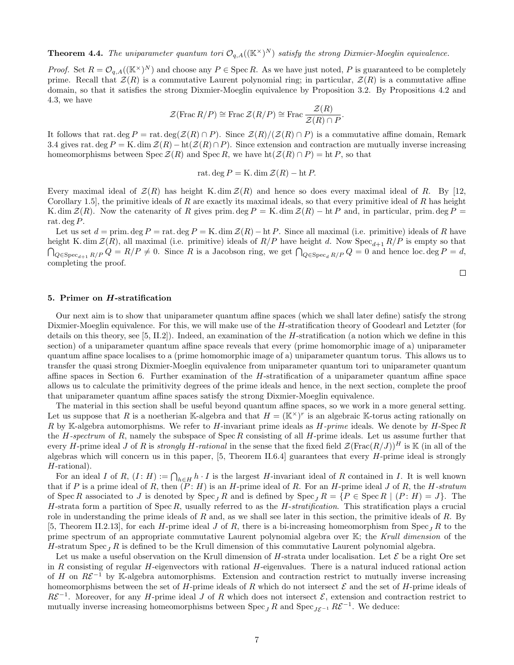**Theorem 4.4.** The uniparameter quantum tori  $\mathcal{O}_{q,A}((\mathbb{K}^{\times})^N)$  satisfy the strong Dixmier-Moeglin equivalence.

*Proof.* Set  $R = \mathcal{O}_{q,A}((\mathbb{K}^{\times})^N)$  and choose any  $P \in \text{Spec } R$ . As we have just noted, P is guaranteed to be completely prime. Recall that  $\mathcal{Z}(R)$  is a commutative Laurent polynomial ring; in particular,  $\mathcal{Z}(R)$  is a commutative affine domain, so that it satisfies the strong Dixmier-Moeglin equivalence by Proposition [3.2.](#page-4-3) By Propositions [4.2](#page-5-2) and [4.3,](#page-5-3) we have

$$
\mathcal{Z}(\operatorname{Frac} R/P) \cong \operatorname{Frac}\mathcal{Z}(R/P) \cong \operatorname{Frac}\frac{\mathcal{Z}(R)}{\mathcal{Z}(R)\cap P}.
$$

It follows that rat. deg  $P = \text{rat. deg}(\mathcal{Z}(R) \cap P)$ . Since  $\mathcal{Z}(R)/(\mathcal{Z}(R) \cap P)$  is a commutative affine domain, Remark [3.4](#page-4-4) gives rat. deg  $P = K$ . dim  $\mathcal{Z}(R) - ht(\mathcal{Z}(R) \cap P)$ . Since extension and contraction are mutually inverse increasing homeomorphisms between Spec  $\mathcal{Z}(R)$  and Spec R, we have  $\text{ht}(\mathcal{Z}(R) \cap P) = \text{ht } P$ , so that

<span id="page-7-2"></span><span id="page-7-1"></span>rat. deg  $P = K$ . dim  $\mathcal{Z}(R) - \text{ht } P$ .

<span id="page-7-4"></span>Every maximal ideal of  $\mathcal{Z}(R)$  has height K. dim  $\mathcal{Z}(R)$  and hence so does every maximal ideal of R. By [\[12,](#page-14-5) Corollary 1.5, the primitive ideals of R are exactly its maximal ideals, so that every primitive ideal of R has height K. dim  $\mathcal{Z}(R)$ . Now the catenarity of R gives prim. deg  $P = K$ . dim  $\mathcal{Z}(R) - \text{ht } P$  and, in particular, prim. deg  $P =$ rat. deg P.

Let us set  $d = \text{prim. deg } P = \text{rat. deg } P = \text{K. dim } \mathcal{Z}(R) - \text{ht } P$ . Since all maximal (i.e. primitive) ideals of R have height K. dim  $\mathcal{Z}(R)$ , all maximal (i.e. primitive) ideals of  $R/P$  have height d. Now  $Spec_{d+1} R/P$  is empty so that  $\bigcap_{Q \in \text{Spec}_{d+1} R/P} Q = R/P \neq 0$ . Since R is a Jacobson ring, we get  $\bigcap_{Q \in \text{Spec}_{d} R/P} Q = 0$  and hence loc. deg  $P = d$ , completing the proof.

 $\Box$ 

#### 5. Primer on H-stratification

<span id="page-7-3"></span>Our next aim is to show that uniparameter quantum affine spaces (which we shall later define) satisfy the strong Dixmier-Moeglin equivalence. For this, we will make use of the H-stratification theory of Goodearl and Letzter (for details on this theory, see [\[5,](#page-13-1) II.2]). Indeed, an examination of the H-stratification (a notion which we define in this section) of a uniparameter quantum affine space reveals that every (prime homomorphic image of a) uniparameter quantum affine space localises to a (prime homomorphic image of a) uniparameter quantum torus. This allows us to transfer the quasi strong Dixmier-Moeglin equivalence from uniparameter quantum tori to uniparameter quantum affine spaces in Section [6.](#page-7-0) Further examination of the H-stratification of a uniparameter quantum affine space allows us to calculate the primitivity degrees of the prime ideals and hence, in the next section, complete the proof that uniparameter quantum affine spaces satisfy the strong Dixmier-Moeglin equivalence.

The material in this section shall be useful beyond quantum affine spaces, so we work in a more general setting. Let us suppose that R is a noetherian K-algebra and that  $H = (\mathbb{K}^{\times})^r$  is an algebraic K-torus acting rationally on R by K-algebra automorphisms. We refer to H-invariant prime ideals as  $H\text{-}prime$  ideals. We denote by H-Spec R the H-spectrum of R, namely the subspace of  $Spec R$  consisting of all H-prime ideals. Let us assume further that every H-prime ideal J of R is strongly H-rational in the sense that the fixed field  $\mathcal{Z}(\text{Frac}(R/J))^H$  is K (in all of the algebras which will concern us in this paper,  $[5,$  Theorem II.6.4] guarantees that every H-prime ideal is strongly H-rational).

<span id="page-7-0"></span>For an ideal I of R,  $(I: H) := \bigcap_{h \in H} h \cdot I$  is the largest H-invariant ideal of R contained in I. It is well known that if P is a prime ideal of R, then  $(P: H)$  is an H-prime ideal of R. For an H-prime ideal J of R, the H-stratum of Spec R associated to J is denoted by  $\operatorname{Spec}_J R$  and is defined by  $\operatorname{Spec}_J R = \{P \in \operatorname{Spec}_R | (P : H) = J\}$ . The H-strata form a partition of Spec R, usually referred to as the H-stratification. This stratification plays a crucial role in understanding the prime ideals of  $R$  and, as we shall see later in this section, the primitive ideals of  $R$ . By [\[5,](#page-13-1) Theorem II.2.13], for each H-prime ideal J of R, there is a bi-increasing homeomorphism from  $\text{Spec}_{J} R$  to the prime spectrum of an appropriate commutative Laurent polynomial algebra over  $K$ ; the Krull dimension of the H-stratum Spec<sub>L</sub> R is defined to be the Krull dimension of this commutative Laurent polynomial algebra.

Let us make a useful observation on the Krull dimension of H-strata under localisation. Let  $\mathcal E$  be a right Ore set in R consisting of regular  $H$ -eigenvectors with rational  $H$ -eigenvalues. There is a natural induced rational action of H on  $R\mathcal{E}^{-1}$  by K-algebra automorphisms. Extension and contraction restrict to mutually inverse increasing homeomorphisms between the set of H-prime ideals of R which do not intersect  $\mathcal E$  and the set of H-prime ideals of  $R\mathcal{E}^{-1}$ . Moreover, for any H-prime ideal J of R which does not intersect  $\mathcal{E}$ , extension and contraction restrict to mutually inverse increasing homeomorphisms between  $\text{Spec}_J R$  and  $\text{Spec}_{J\mathcal{E}^{-1}} R\mathcal{E}^{-1}$ . We deduce: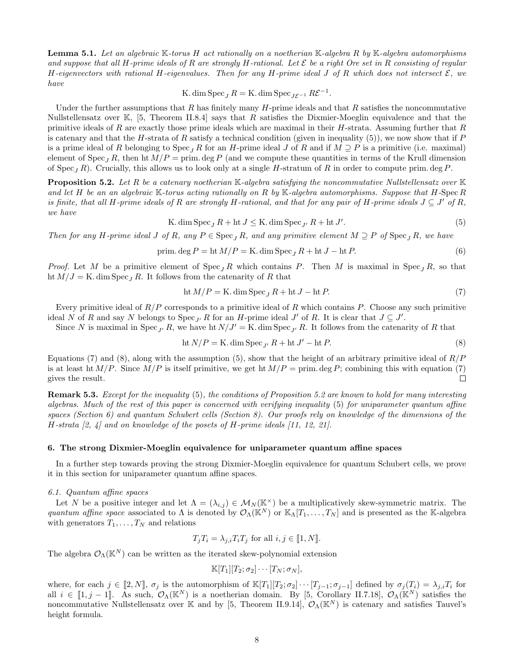<span id="page-8-3"></span>**Lemma 5.1.** Let an algebraic  $\mathbb{K}$ -torus H act rationally on a noetherian  $\mathbb{K}$ -algebra R by  $\mathbb{K}$ -algebra automorphisms and suppose that all H-prime ideals of R are strongly H-rational. Let  $\mathcal E$  be a right Ore set in R consisting of regular H-eigenvectors with rational H-eigenvalues. Then for any H-prime ideal J of R which does not intersect  $\mathcal{E}$ , we have

K. dim Spec<sub>J</sub> $R =$ K. dim Spec<sub>J $\mathcal{E}^{-1}$ </sub> $R\mathcal{E}^{-1}$ .

Under the further assumptions that R has finitely many  $H$ -prime ideals and that R satisfies the noncommutative Nullstellensatz over  $\mathbb{K}$ , [\[5,](#page-13-1) Theorem II.8.4] says that R satisfies the Dixmier-Moeglin equivalence and that the primitive ideals of R are exactly those prime ideals which are maximal in their  $H$ -strata. Assuming further that  $R$ is catenary and that the H-strata of R satisfy a technical condition (given in inequality  $(5)$ ), we now show that if P is a prime ideal of R belonging to Spec<sub>I</sub> R for an H-prime ideal J of R and if  $M \supseteq P$  is a primitive (i.e. maximal) element of Spec<sub>I</sub> R, then ht  $M/P = \text{prim. deg } P$  (and we compute these quantities in terms of the Krull dimension of Spec<sub>*I*</sub> R). Crucially, this allows us to look only at a single H-stratum of R in order to compute prim. deg P.

**Proposition 5.2.** Let R be a catenary noetherian K-algebra satisfying the noncommutative Nullstellensatz over K and let H be an an algebraic K-torus acting rationally on R by K-algebra automorphisms. Suppose that H-Spec R is finite, that all H-prime ideals of R are strongly H-rational, and that for any pair of H-prime ideals  $J \subseteq J'$  of R, we have

K. dim Spec<sub>J</sub> 
$$
R + ht J \le K
$$
. dim Spec<sub>J'</sub>  $R + ht J'$ . (5)

<span id="page-8-2"></span>Then for any H-prime ideal J of R, any  $P \in \text{Spec}_I R$ , and any primitive element  $M \supseteq P$  of  $\text{Spec}_I R$ , we have

$$
\text{prim.} \deg P = \text{ht } M/P = \text{K.} \dim \text{Spec}_J R + \text{ht } J - \text{ht } P. \tag{6}
$$

*Proof.* Let M be a primitive element of  $Spec_{I} R$  which contains P. Then M is maximal in  $Spec_{I} R$ , so that ht  $M/J = K$ . dim  $Spec_J R$ . It follows from the catenarity of R that

$$
ht M/P = K \cdot \dim \operatorname{Spec}_J R + ht J - ht P. \tag{7}
$$

Every primitive ideal of  $R/P$  corresponds to a primitive ideal of R which contains P. Choose any such primitive ideal N of R and say N belongs to  $Spec_{J'} R$  for an H-prime ideal J' of R. It is clear that  $J \subseteq J'$ .

Since N is maximal in Spec<sub>J'</sub> R, we have ht  $N/J' = K$ . dim Spec<sub>J'</sub> R. It follows from the catenarity of R that

$$
ht N/P = K \cdot \dim \operatorname{Spec}_{J'} R + ht J' - ht P. \tag{8}
$$

Equations [\(7\)](#page-7-2) and [\(8\)](#page-7-3), along with the assumption [\(5\)](#page-7-1), show that the height of an arbitrary primitive ideal of  $R/P$ is at least ht  $M/P$ . Since  $M/P$  is itself primitive, we get ht  $M/P = \text{prim. deg } P$ ; combining this with equation [\(7\)](#page-7-2) gives the result.  $\Box$ 

Remark 5.3. Except for the inequality [\(5\)](#page-7-1), the conditions of Proposition [5.2](#page-7-4) are known to hold for many interesting algebras. Much of the rest of this paper is concerned with verifying inequality [\(5\)](#page-7-1) for uniparameter quantum affine spaces (Section [6\)](#page-7-0) and quantum Schubert cells (Section [8\)](#page-11-0). Our proofs rely on knowledge of the dimensions of the H-strata [\[2,](#page-13-7) [4\]](#page-13-8) and on knowledge of the posets of H-prime ideals [\[11,](#page-14-6) [12,](#page-14-5) [21\]](#page-14-7).

#### 6. The strong Dixmier-Moeglin equivalence for uniparameter quantum affine spaces

In a further step towards proving the strong Dixmier-Moeglin equivalence for quantum Schubert cells, we prove it in this section for uniparameter quantum affine spaces.

#### 6.1. Quantum affine spaces

<span id="page-8-1"></span>Let N be a positive integer and let  $\Lambda = (\lambda_{i,j}) \in \mathcal{M}_N(\mathbb{K}^\times)$  be a multiplicatively skew-symmetric matrix. The quantum affine space associated to  $\Lambda$  is denoted by  $\mathcal{O}_{\Lambda}(\mathbb{K}^N)$  or  $\mathbb{K}_{\Lambda}[T_1,\ldots,T_N]$  and is presented as the K-algebra with generators  $T_1, \ldots, T_N$  and relations

$$
T_j T_i = \lambda_{j,i} T_i T_j \text{ for all } i, j \in [\![ 1, N ]\!].
$$

The algebra  $\mathcal{O}_{\Lambda}(\mathbb{K}^N)$  can be written as the iterated skew-polynomial extension

<span id="page-8-0"></span>
$$
\mathbb{K}[T_1][T_2;\sigma_2]\cdots[T_N;\sigma_N],
$$

where, for each  $j \in [2, N]$ ,  $\sigma_j$  is the automorphism of  $\mathbb{K}[T_1][T_2; \sigma_2] \cdots [T_{j-1}; \sigma_{j-1}]$  defined by  $\sigma_j(T_i) = \lambda_{j,i} T_i$  for all  $i \in [1, j-1]$ . As such,  $\mathcal{O}_{\Lambda}(\mathbb{K}^N)$  is a noetherian domain. By [\[5,](#page-13-1) Corollary II.7.18],  $\mathcal{O}_{\Lambda}(\mathbb{K}^N)$  satisfies the noncommutative Nullstellensatz over K and by [\[5,](#page-13-1) Theorem II.9.14],  $\mathcal{O}_{\Lambda}(\mathbb{K}^N)$  is catenary and satisfies Tauvel's height formula.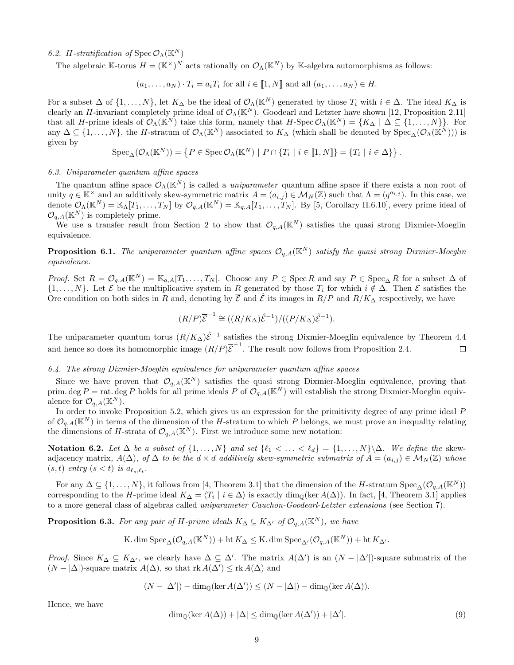#### 6.2. H-stratification of  $\text{Spec } \mathcal{O}_{\Lambda}(\mathbb{K}^N)$

The algebraic K-torus  $H = (\mathbb{K}^{\times})^N$  acts rationally on  $\mathcal{O}_{\Lambda}(\mathbb{K}^N)$  by K-algebra automorphisms as follows:

$$
(a_1, \ldots, a_N) \cdot T_i = a_i T_i
$$
 for all  $i \in [\![1, N]\!]$  and all  $(a_1, \ldots, a_N) \in H$ .

For a subset  $\Delta$  of  $\{1,\ldots,N\}$ , let  $K_{\Delta}$  be the ideal of  $\mathcal{O}_{\Lambda}(\mathbb{K}^N)$  generated by those  $T_i$  with  $i \in \Delta$ . The ideal  $K_{\Delta}$  is clearly an H-invariant completely prime ideal of  $\mathcal{O}_{\Lambda}(\mathbb{K}^N)$ . Goodearl and Letzter have shown [\[12,](#page-14-5) Proposition 2.11] that all H-prime ideals of  $\mathcal{O}_{\Lambda}(\mathbb{K}^N)$  take this form, namely that  $H$ -Spec  $\mathcal{O}_{\Lambda}(\mathbb{K}^N) = \{K_{\Delta} \mid \Delta \subseteq \{1, ..., N\}\}\.$  For any  $\Delta \subseteq \{1,\ldots,N\}$ , the H-stratum of  $\mathcal{O}_{\Lambda}(\mathbb{K}^N)$  associated to  $K_{\Delta}$  (which shall be denoted by  $\operatorname{Spec}_{\Delta}(\mathcal{O}_{\Lambda}(\mathbb{K}^N)))$  is given by

$$
\operatorname{Spec}_{\Delta}(\mathcal{O}_{\Lambda}(\mathbb{K}^{N})) = \left\{ P \in \operatorname{Spec} \mathcal{O}_{\Lambda}(\mathbb{K}^{N}) \mid P \cap \{T_{i} \mid i \in [\![ 1,N ]\!] \} = \{T_{i} \mid i \in \Delta\} \right\}.
$$

#### <span id="page-9-1"></span>6.3. Uniparameter quantum affine spaces

The quantum affine space  $\mathcal{O}_{\Lambda}(\mathbb{K}^N)$  is called a *uniparameter* quantum affine space if there exists a non root of unity  $q \in \mathbb{K}^{\times}$  and an additively skew-symmetric matrix  $A = (a_{i,j}) \in \mathcal{M}_N(\mathbb{Z})$  such that  $\Lambda = (q^{a_{i,j}})$ . In this case, we denote  $\mathcal{O}_{\Lambda}(\mathbb{K}^N) = \mathbb{K}_{\Lambda}[T_1,\ldots,T_N]$  by  $\mathcal{O}_{q,A}(\mathbb{K}^N) = \mathbb{K}_{q,A}[T_1,\ldots,T_N]$ . By [\[5,](#page-13-1) Corollary II.6.10], every prime ideal of  $\mathcal{O}_{q,A}(\mathbb{K}^N)$  is completely prime.

We use a transfer result from Section [2](#page-2-1) to show that  $\mathcal{O}_{q,A}(\mathbb{K}^N)$  satisfies the quasi strong Dixmier-Moeglin equivalence.

**Proposition 6.1.** The uniparameter quantum affine spaces  $\mathcal{O}_{q,A}(\mathbb{K}^N)$  satisfy the quasi strong Dixmier-Moeglin equivalence.

Proof. Set  $R = \mathcal{O}_{q,A}(\mathbb{K}^N) = \mathbb{K}_{q,A}[T_1,\ldots,T_N]$ . Choose any  $P \in \text{Spec } R$  and say  $P \in \text{Spec}_{\Delta} R$  for a subset  $\Delta$  of  $\{1,\ldots,N\}$ . Let  $\mathcal E$  be the multiplicative system in R generated by those  $T_i$  for which  $i \notin \Delta$ . Then  $\mathcal E$  satisfies the Ore condition on both sides in R and, denoting by  $\overline{\mathcal{E}}$  and  $\widehat{\mathcal{E}}$  its images in  $R/P$  and  $R/K_{\Delta}$  respectively, we have

$$
(R/P)\overline{\mathcal{E}}^{-1} \cong ((R/K_{\Delta})\hat{\mathcal{E}}^{-1})/((P/K_{\Delta})\hat{\mathcal{E}}^{-1}).
$$

The uniparameter quantum torus  $(R/K_\Delta)\hat{\mathcal{E}}^{-1}$  satisfies the strong Dixmier-Moeglin equivalence by Theorem [4.4](#page-6-0) and hence so does its homomorphic image  $(R/P)\overline{\mathcal{E}}^{-1}$ . The result now follows from Proposition [2.4.](#page-3-3)  $\Box$ 

#### 6.4. The strong Dixmier-Moeglin equivalence for uniparameter quantum affine spaces

Since we have proven that  $\mathcal{O}_{q,A}(\mathbb{K}^N)$  satisfies the quasi strong Dixmier-Moeglin equivalence, proving that prim. deg P = rat. deg P holds for all prime ideals P of  $\mathcal{O}_{q,A}(\mathbb{K}^N)$  will establish the strong Dixmier-Moeglin equivalence for  $\mathcal{O}_{q,A}(\mathbb{K}^N)$ .

In order to invoke Proposition [5.2,](#page-7-4) which gives us an expression for the primitivity degree of any prime ideal P of  $\mathcal{O}_{q,A}(\mathbb{K}^N)$  in terms of the dimension of the H-stratum to which P belongs, we must prove an inequality relating the dimensions of H-strata of  $\mathcal{O}_{q,A}(\mathbb{K}^N)$ . First we introduce some new notation:

<span id="page-9-0"></span>Notation 6.2. Let ∆ be a subset of  $\{1, ..., N\}$  and set  $\{\ell_1 < ... < \ell_d\} = \{1, ..., N\}\$ . We define the skewadjacency matrix,  $A(\Delta)$ , of  $\Delta$  to be the  $d \times d$  additively skew-symmetric submatrix of  $A = (a_{i,j}) \in M_N(\mathbb{Z})$  whose  $(s, t)$  entry  $(s < t)$  is  $a_{\ell_s, \ell_t}$ .

For any  $\Delta \subseteq \{1,\ldots,N\}$ , it follows from [\[4,](#page-13-8) Theorem 3.1] that the dimension of the H-stratum  $Spec_{\Delta}(\mathcal{O}_{q,A}(\mathbb{K}^N))$ corresponding to the H-prime ideal  $K_{\Delta} = \langle T_i \mid i \in \Delta \rangle$  is exactly  $\dim_{\mathbb{Q}}(\ker A(\Delta))$ . In fact, [\[4,](#page-13-8) Theorem 3.1] applies to a more general class of algebras called uniparameter Cauchon-Goodearl-Letzter extensions (see Section [7\)](#page-9-0).

**Proposition 6.3.** For any pair of H-prime ideals  $K_{\Delta} \subseteq K_{\Delta'}$  of  $\mathcal{O}_{q,A}(\mathbb{K}^N)$ , we have

$$
\text{K.dim\,Spec}_{\Delta}(\mathcal{O}_{q,A}(\mathbb{K}^N))+\text{ht\,} K_{\Delta}\leq \text{K.dim\,Spec}_{\Delta'}(\mathcal{O}_{q,A}(\mathbb{K}^N))+\text{ht\,} K_{\Delta'}.
$$

Proof. Since  $K_{\Delta} \subseteq K_{\Delta}$ , we clearly have  $\Delta \subseteq \Delta'$ . The matrix  $A(\Delta')$  is an  $(N - |\Delta'|)$ -square submatrix of the  $(N - |\Delta|)$ -square matrix  $A(\Delta)$ , so that rk  $A(\Delta') \leq$  rk  $A(\Delta)$  and

$$
(N-|\Delta'|)-\dim_{\mathbb{Q}}(\ker A(\Delta'))\leq (N-|\Delta|)-\dim_{\mathbb{Q}}(\ker A(\Delta)).
$$

Hence, we have

$$
\dim_{\mathbb{Q}}(\ker A(\Delta)) + |\Delta| \le \dim_{\mathbb{Q}}(\ker A(\Delta')) + |\Delta'|.
$$
\n(9)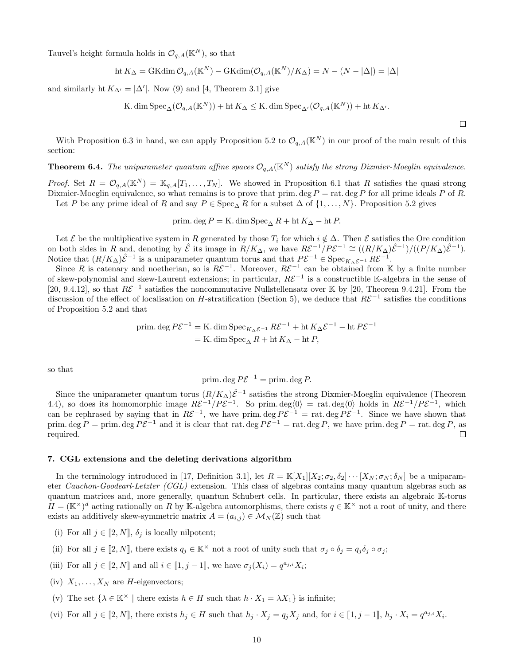Tauvel's height formula holds in  $\mathcal{O}_{q,A}(\mathbb{K}^N)$ , so that

$$
\text{ht } K_{\Delta} = \text{GKdim } \mathcal{O}_{q,A}(\mathbb{K}^N) - \text{GKdim}(\mathcal{O}_{q,A}(\mathbb{K}^N)/K_{\Delta}) = N - (N - |\Delta|) = |\Delta|
$$

and similarly ht  $K_{\Delta'} = |\Delta'|$ . Now [\(9\)](#page-8-0) and [\[4,](#page-13-8) Theorem 3.1] give

K. dim 
$$
\text{Spec}_{\Delta}(\mathcal{O}_{q,A}(\mathbb{K}^N)) + \text{ht } K_{\Delta} \leq K
$$
. dim  $\text{Spec}_{\Delta'}(\mathcal{O}_{q,A}(\mathbb{K}^N)) + \text{ht } K_{\Delta'}$ .

 $\Box$ 

With Proposition [6.3](#page-8-1) in hand, we can apply Proposition [5.2](#page-7-4) to  $\mathcal{O}_{q,A}(\mathbb{K}^N)$  in our proof of the main result of this section:

## **Theorem 6.4.** The uniparameter quantum affine spaces  $\mathcal{O}_{a,A}(\mathbb{K}^N)$  satisfy the strong Dixmier-Moeglin equivalence.

*Proof.* Set  $R = \mathcal{O}_{q,A}(\mathbb{K}^N) = \mathbb{K}_{q,A}[T_1,\ldots,T_N]$ . We showed in Proposition [6.1](#page-8-2) that R satisfies the quasi strong Dixmier-Moeglin equivalence, so what remains is to prove that prim. deg  $P = \text{rat.}$  deg P for all prime ideals P of R. Let P be any prime ideal of R and say  $P \in \text{Spec}_{\Delta} R$  for a subset  $\Delta$  of  $\{1, \ldots, N\}$ . Proposition [5.2](#page-7-4) gives

prim. deg  $P = K$ . dim  $Spec_{\Delta} R + ht K_{\Delta} - ht P$ .

Let  $\mathcal E$  be the multiplicative system in R generated by those  $T_i$  for which  $i \notin \Delta$ . Then  $\mathcal E$  satisfies the Ore condition on both sides in R and, denoting by  $\hat{\mathcal{E}}$  its image in  $R/K_{\Delta}$ , we have  $R\mathcal{E}^{-1}/P\mathcal{E}^{-1} \cong ((R/K_{\Delta})\hat{\mathcal{E}}^{-1})/((P/K_{\Delta})\hat{\mathcal{E}}^{-1})$ . Notice that  $(R/K_\Delta)\hat{\mathcal{E}}^{-1}$  is a uniparameter quantum torus and that  $P\mathcal{E}^{-1} \in \mathrm{Spec}_{K_\Delta\mathcal{E}^{-1}} R\mathcal{E}^{-1}$ .

Since R is catenary and noetherian, so is  $R\mathcal{E}^{-1}$ . Moreover,  $R\mathcal{E}^{-1}$  can be obtained from K by a finite number of skew-polynomial and skew-Laurent extensions; in particular,  $R\mathcal{E}^{-1}$  is a constructible K-algebra in the sense of [\[20,](#page-14-8) 9.4.12], so that  $R\mathcal{E}^{-1}$  satisfies the noncommutative Nullstellensatz over K by [\[20,](#page-14-8) Theorem 9.4.21]. From the discussion of the effect of localisation on H-stratification (Section [5\)](#page-6-1), we deduce that  $R\mathcal{E}^{-1}$  satisfies the conditions of Proposition [5.2](#page-7-4) and that

prim. deg 
$$
P\mathcal{E}^{-1} = K
$$
. dim  $\operatorname{Spec}_{K_{\Delta}\mathcal{E}^{-1}} R\mathcal{E}^{-1} + \operatorname{ht} K_{\Delta}\mathcal{E}^{-1} - \operatorname{ht} P\mathcal{E}^{-1}$   
= K. dim  $\operatorname{Spec}_{\Delta} R + \operatorname{ht} K_{\Delta} - \operatorname{ht} P$ ,

so that

<span id="page-10-0"></span>prim. deg 
$$
P\mathcal{E}^{-1}
$$
 = prim. deg P.

<span id="page-10-1"></span>Since the uniparameter quantum torus  $(R/K_\Delta)\hat{\mathcal{E}}^{-1}$  satisfies the strong Dixmier-Moeglin equivalence (Theorem [4.4\)](#page-6-0), so does its homomorphic image  $R\mathcal{E}^{-1}/P\mathcal{E}^{-1}$ . So prim.  $\deg\langle 0 \rangle = \text{rat.} \deg\langle 0 \rangle$  holds in  $R\mathcal{E}^{-1}/P\mathcal{E}^{-1}$ , which can be rephrased by saying that in  $R\mathcal{E}^{-1}$ , we have prim. deg  $P\mathcal{E}^{-1} = \text{rat.}$  deg  $P\mathcal{E}^{-1}$ . Since we have shown that prim. deg  $P = \text{prim. deg } P \mathcal{E}^{-1}$  and it is clear that rat. deg  $P \mathcal{E}^{-1} = \text{rat. deg } P$ , we have prim. deg  $P = \text{rat. deg } P$ , as required. П

#### 7. CGL extensions and the deleting derivations algorithm

In the terminology introduced in [\[17,](#page-14-9) Definition 3.1], let  $R = \mathbb{K}[X_1 | [X_2; \sigma_2, \delta_2] \cdots [X_N; \sigma_N; \delta_N]$  be a uniparameter Cauchon-Goodearl-Letzter (CGL) extension. This class of algebras contains many quantum algebras such as quantum matrices and, more generally, quantum Schubert cells. In particular, there exists an algebraic K-torus  $H = (\mathbb{K}^{\times})^d$  acting rationally on R by K-algebra automorphisms, there exists  $q \in \mathbb{K}^{\times}$  not a root of unity, and there exists an additively skew-symmetric matrix  $A = (a_{i,j}) \in \mathcal{M}_N(\mathbb{Z})$  such that

- (i) For all  $j \in [2, N], \delta_j$  is locally nilpotent;
- (ii) For all  $j \in [2, N]$ , there exists  $q_j \in K^\times$  not a root of unity such that  $\sigma_j \circ \delta_j = q_j \delta_j \circ \sigma_j$ ;
- <span id="page-10-3"></span>(iii) For all  $j \in [2, N]$  and all  $i \in [1, j - 1]$ , we have  $\sigma_j(X_i) = q^{a_{j,i}} X_i$ ;
- (iv)  $X_1, \ldots, X_N$  are *H*-eigenvectors;
- <span id="page-10-2"></span>(v) The set  $\{\lambda \in \mathbb{K}^\times \mid \text{there exists } h \in H \text{ such that } h \cdot X_1 = \lambda X_1\}$  is infinite;
- (vi) For all  $j \in [2, N]$ , there exists  $h_j \in H$  such that  $h_j \cdot X_j = q_j X_j$  and, for  $i \in [1, j 1]$ ,  $h_j \cdot X_i = q^{a_{j,i}} X_i$ .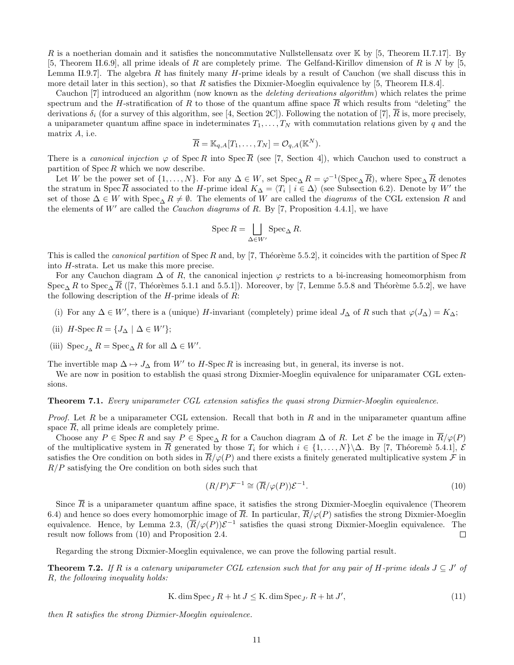R is a noetherian domain and it satisfies the noncommutative Nullstellensatz over  $\mathbb{K}$  by [\[5,](#page-13-1) Theorem II.7.17]. By [\[5,](#page-13-1) Theorem II.6.9], all prime ideals of R are completely prime. The Gelfand-Kirillov dimension of R is N by [\[5,](#page-13-1) Lemma II.9.7. The algebra R has finitely many  $H$ -prime ideals by a result of Cauchon (we shall discuss this in more detail later in this section), so that R satisfies the Dixmier-Moeglin equivalence by [\[5,](#page-13-1) Theorem II.8.4].

Cauchon [\[7\]](#page-13-9) introduced an algorithm (now known as the deleting derivations algorithm) which relates the prime spectrum and the H-stratification of R to those of the quantum affine space R which results from "deleting" the derivations  $\delta_i$  (for a survey of this algorithm, see [\[4,](#page-13-8) Section 2C]). Following the notation of [\[7\]](#page-13-9), R is, more precisely, a uniparameter quantum affine space in indeterminates  $T_1, \ldots, T_N$  with commutation relations given by q and the matrix A, i.e.

<span id="page-11-1"></span>
$$
\overline{R} = \mathbb{K}_{q,A}[T_1,\ldots,T_N] = \mathcal{O}_{q,A}(\mathbb{K}^N).
$$

There is a *canonical injection*  $\varphi$  of Spec R into Spec  $\overline{R}$  (see [\[7,](#page-13-9) Section 4]), which Cauchon used to construct a partition of  $\text{Spec } R$  which we now describe.

Let W be the power set of  $\{1,\ldots,N\}$ . For any  $\Delta \in W$ , set  $\text{Spec}_{\Delta} R = \varphi^{-1}(\text{Spec}_{\Delta} \overline{R})$ , where  $\text{Spec}_{\Delta} \overline{R}$  denotes the stratum in Spec  $\overline{R}$  associated to the H-prime ideal  $K_{\Delta} = \langle T_i | i \in \Delta \rangle$  (see Subsection [6.2\)](#page-8-3). Denote by W' the set of those  $\Delta \in W$  with  $Spec_{\Delta} R \neq \emptyset$ . The elements of W are called the *diagrams* of the CGL extension R and the elements of  $W'$  are called the *Cauchon diagrams* of R. By [\[7,](#page-13-9) Proposition 4.4.1], we have

<span id="page-11-2"></span>
$$
\operatorname{Spec} R = \bigsqcup_{\Delta \in W'} \operatorname{Spec}_{\Delta} R.
$$

This is called the *canonical partition* of Spec R and, by [\[7,](#page-13-9) Théorème 5.5.2], it coincides with the partition of Spec R into H-strata. Let us make this more precise.

For any Cauchon diagram  $\Delta$  of R, the canonical injection  $\varphi$  restricts to a bi-increasing homeomorphism from Spec<sub>△</sub> R to Spec<sub>△</sub>  $\overline{R}$  ([\[7,](#page-13-9) Théorèmes 5.1.1 and 5.5.1]). Moreover, by [\[7,](#page-13-9) Lemme 5.5.8 and Théorème 5.5.2], we have the following description of the  $H$ -prime ideals of  $R$ :

- (i) For any  $\Delta \in W'$ , there is a (unique) H-invariant (completely) prime ideal  $J_{\Delta}$  of R such that  $\varphi(J_{\Delta}) = K_{\Delta}$ ;
- <span id="page-11-0"></span>(ii)  $H$ -Spec  $R = \{J_\Delta \mid \Delta \in W'\};$
- (iii)  $\operatorname{Spec}_{J_{\Delta}} R = \operatorname{Spec}_{\Delta} R$  for all  $\Delta \in W'.$

The invertible map  $\Delta \mapsto J_{\Delta}$  from W' to H-Spec R is increasing but, in general, its inverse is not.

We are now in position to establish the quasi strong Dixmier-Moeglin equivalence for uniparamater CGL extensions.

#### Theorem 7.1. Every uniparameter CGL extension satisfies the quasi strong Dixmier-Moeglin equivalence.

*Proof.* Let R be a uniparameter CGL extension. Recall that both in R and in the uniparameter quantum affine space R, all prime ideals are completely prime.

Choose any  $P \in \operatorname{Spec} R$  and say  $P \in \operatorname{Spec}_{\Delta} R$  for a Cauchon diagram  $\Delta$  of R. Let  $\mathcal E$  be the image in  $\overline{R}/\varphi(P)$ of the multiplicative system in  $\overline{R}$  generated by those  $T_i$  for which  $i \in \{1, \ldots, N\} \backslash \Delta$ . By [\[7,](#page-13-9) Théoremè 5.4.1],  $\mathcal{E}$ satisfies the Ore condition on both sides in  $\overline{R}/\varphi(P)$  and there exists a finitely generated multiplicative system  $\mathcal F$  in  $R/P$  satisfying the Ore condition on both sides such that

$$
(R/P)\mathcal{F}^{-1} \cong (\overline{R}/\varphi(P))\mathcal{E}^{-1}.
$$
\n(10)

Since  $\overline{R}$  is a uniparameter quantum affine space, it satisfies the strong Dixmier-Moeglin equivalence (Theorem [6.4\)](#page-9-1) and hence so does every homomorphic image of  $\overline{R}$ . In particular,  $\overline{R}/\varphi(P)$  satisfies the strong Dixmier-Moeglin equivalence. Hence, by Lemma [2.3,](#page-3-4)  $(\overline{R}/\varphi(P))\mathcal{E}^{-1}$  satisfies the quasi strong Dixmier-Moeglin equivalence. The result now follows from [\(10\)](#page-10-0) and Proposition [2.4.](#page-3-3)  $\Box$ 

Regarding the strong Dixmier-Moeglin equivalence, we can prove the following partial result.

**Theorem 7.2.** If R is a catenary uniparameter CGL extension such that for any pair of H-prime ideals  $J \subseteq J'$  of R, the following inequality holds:

<span id="page-11-3"></span>K. dim Spec<sub>J</sub> 
$$
R + ht J \le K
$$
. dim Spec<sub>J'</sub>  $R + ht J'$ , 
$$
(11)
$$

then R satisfies the strong Dixmier-Moeglin equivalence.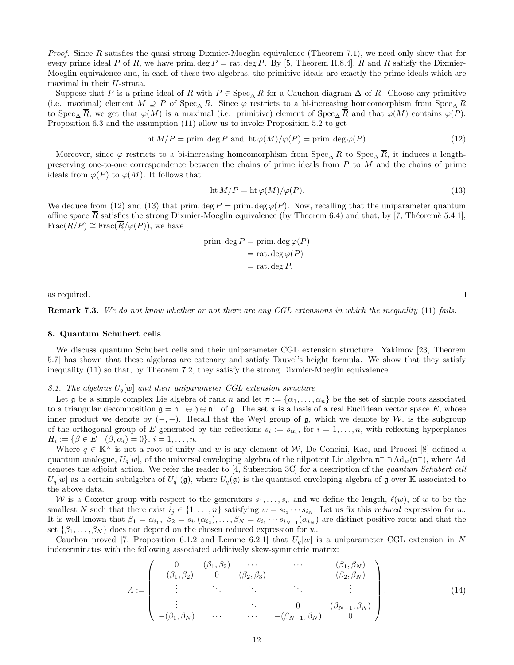Proof. Since R satisfies the quasi strong Dixmier-Moeglin equivalence (Theorem [7.1\)](#page-10-1), we need only show that for every prime ideal P of R, we have prim. deg P = rat. deg P. By [\[5,](#page-13-1) Theorem II.8.4], R and R satisfy the Dixmier-Moeglin equivalence and, in each of these two algebras, the primitive ideals are exactly the prime ideals which are maximal in their H-strata.

Suppose that P is a prime ideal of R with  $P \in \text{Spec}_{\Delta} R$  for a Cauchon diagram  $\Delta$  of R. Choose any primitive (i.e. maximal) element  $M \supseteq P$  of Spec<sub>△</sub> R. Since  $\varphi$  restricts to a bi-increasing homeomorphism from Spec<sub>△</sub> R to Spec<sub>△</sub>  $\overline{R}$ , we get that  $\varphi(M)$  is a maximal (i.e. primitive) element of Spec<sub>△</sub>  $\overline{R}$  and that  $\varphi(M)$  contains  $\varphi(P)$ . Proposition [6.3](#page-8-1) and the assumption [\(11\)](#page-10-2) allow us to invoke Proposition [5.2](#page-7-4) to get

$$
ht M/P = prim. deg P and ht \varphi(M)/\varphi(P) = prim. deg \varphi(P).
$$
\n(12)

Moreover, since  $\varphi$  restricts to a bi-increasing homeomorphism from Spec<sub>△</sub> R to Spec<sub>△</sub>  $\overline{R}$ , it induces a lengthpreserving one-to-one correspondence between the chains of prime ideals from P to M and the chains of prime ideals from  $\varphi(P)$  to  $\varphi(M)$ . It follows that

$$
ht M/P = ht \varphi(M)/\varphi(P).
$$
\n(13)

We deduce from [\(12\)](#page-11-1) and [\(13\)](#page-11-2) that prim. deg  $P = \text{prim. deg }\varphi(P)$ . Now, recalling that the uniparameter quantum affine space  $\overline{R}$  satisfies the strong Dixmier-Moeglin equivalence (by Theorem [6.4\)](#page-9-1) and that, by [\[7,](#page-13-9) Théoremè 5.4.1],  $Frac(R/P) \cong Frac(\overline{R}/\varphi(P))$ , we have

$$
prim. deg P = prim. deg \varphi(P)
$$
  
= rat. deg \varphi(P)  
= rat. deg P,

as required.

Remark 7.3. We do not know whether or not there are any CGL extensions in which the inequality [\(11\)](#page-10-2) fails.

#### 8. Quantum Schubert cells

We discuss quantum Schubert cells and their uniparameter CGL extension structure. Yakimov [\[23,](#page-14-10) Theorem 5.7] has shown that these algebras are catenary and satisfy Tauvel's height formula. We show that they satisfy inequality [\(11\)](#page-10-2) so that, by Theorem [7.2,](#page-10-3) they satisfy the strong Dixmier-Moeglin equivalence.

#### 8.1. The algebras  $U_q[w]$  and their uniparameter CGL extension structure

<span id="page-12-0"></span>Let g be a simple complex Lie algebra of rank n and let  $\pi := {\alpha_1, \ldots, \alpha_n}$  be the set of simple roots associated to a triangular decomposition  $\mathfrak{g} = \mathfrak{n}^- \oplus \mathfrak{h} \oplus \mathfrak{n}^+$  of  $\mathfrak{g}$ . The set  $\pi$  is a basis of a real Euclidean vector space E, whose inner product we denote by  $(-,-)$ . Recall that the Weyl group of  $\mathfrak{g}$ , which we denote by W, is the subgroup of the orthogonal group of E generated by the reflections  $s_i := s_{\alpha_i}$ , for  $i = 1, \ldots, n$ , with reflecting hyperplanes  $H_i := \{ \beta \in E \mid (\beta, \alpha_i) = 0 \}, i = 1, \dots, n.$ 

Where  $q \in \mathbb{K}^\times$  is not a root of unity and w is any element of W, De Concini, Kac, and Procesi [\[8\]](#page-13-6) defined a quantum analogue,  $U_q[w]$ , of the universal enveloping algebra of the nilpotent Lie algebra  $\mathfrak{n}^+\cap \text{Ad}_w(\mathfrak{n}^-)$ , where Ad denotes the adjoint action. We refer the reader to [\[4,](#page-13-8) Subsection 3C] for a description of the quantum Schubert cell  $U_q[w]$  as a certain subalgebra of  $U_q^+(\mathfrak{g})$ , where  $U_q(\mathfrak{g})$  is the quantised enveloping algebra of  $\mathfrak g$  over K associated to the above data.

W is a Coxeter group with respect to the generators  $s_1, \ldots, s_n$  and we define the length,  $\ell(w)$ , of w to be the smallest N such that there exist  $i_j \in \{1, ..., n\}$  satisfying  $w = s_{i_1} \cdots s_{i_N}$ . Let us fix this *reduced* expression for w. It is well known that  $\beta_1 = \alpha_{i_1}, \ \beta_2 = s_{i_1}(\alpha_{i_2}), \dots, \beta_N = s_{i_1} \cdots s_{i_{N-1}}(\alpha_{i_N})$  are distinct positive roots and that the set  $\{\beta_1, \ldots, \beta_N\}$  does not depend on the chosen reduced expression for w.

<span id="page-12-1"></span>Cauchon proved [\[7,](#page-13-9) Proposition 6.1.2 and Lemme 6.2.1] that  $U_q[w]$  is a uniparameter CGL extension in N indeterminates with the following associated additively skew-symmetric matrix:

$$
A := \begin{pmatrix} 0 & (\beta_1, \beta_2) & \cdots & (\beta_1, \beta_N) \\ -(\beta_1, \beta_2) & 0 & (\beta_2, \beta_3) & (\beta_2, \beta_N) \\ \vdots & \ddots & \ddots & \vdots \\ \vdots & \ddots & \ddots & \vdots \\ -(\beta_1, \beta_N) & \cdots & \cdots & -(\beta_{N-1}, \beta_N) & 0 \end{pmatrix}.
$$
 (14)

 $\Box$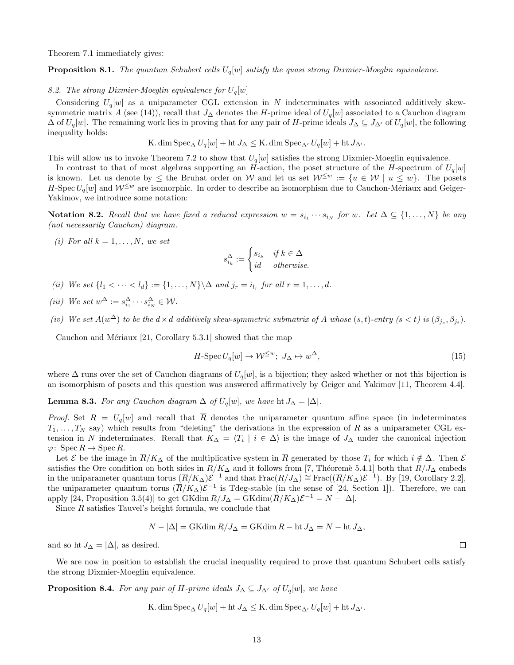Theorem [7.1](#page-10-1) immediately gives:

**Proposition 8.1.** The quantum Schubert cells  $U_q[w]$  satisfy the quasi strong Dixmier-Moeglin equivalence.

#### 8.2. The strong Dixmier-Moeglin equivalence for  $U_q[w]$

Considering  $U_q[w]$  as a uniparameter CGL extension in N indeterminates with associated additively skew-symmetric matrix A (see [\(14\)](#page-11-3)), recall that  $J_{\Delta}$  denotes the H-prime ideal of  $U_q[w]$  associated to a Cauchon diagram  $\Delta$  of  $U_q[w]$ . The remaining work lies in proving that for any pair of H-prime ideals  $J_\Delta \subseteq J_{\Delta'}$  of  $U_q[w]$ , the following inequality holds:

<span id="page-13-10"></span>K. dim 
$$
\operatorname{Spec}_{\Delta}U_q[w] + \operatorname{ht} J_{\Delta} \leq \operatorname{K}.
$$
 dim  $\operatorname{Spec}_{\Delta'}U_q[w] + \operatorname{ht} J_{\Delta'}.$ 

This will allow us to invoke Theorem [7.2](#page-10-3) to show that  $U_q[w]$  satisfies the strong Dixmier-Moeglin equivalence.

In contrast to that of most algebras supporting an H-action, the poset structure of the H-spectrum of  $U_q[w]$ is known. Let us denote by  $\leq$  the Bruhat order on W and let us set  $\mathcal{W}^{\leq w} := \{u \in \mathcal{W} \mid u \leq w\}$ . The posets H-Spec  $U_q[w]$  and  $\mathcal{W}^{\leq w}$  are isomorphic. In order to describe an isomorphism due to Cauchon-Mériaux and Geiger-Yakimov, we introduce some notation:

**Notation 8.2.** Recall that we have fixed a reduced expression  $w = s_{i_1} \cdots s_{i_N}$  for w. Let  $\Delta \subseteq \{1, \ldots, N\}$  be any (not necessarily Cauchon) diagram.

(i) For all  $k = 1, \ldots, N$ , we set

$$
s_{i_k}^{\Delta}:=\begin{cases} s_{i_k} & \text{if } k\in\Delta\\ id & \text{otherwise.} \end{cases}
$$

- (ii) We set  $\{l_1 < \cdots < l_d\} := \{1, \ldots, N\} \backslash \Delta$  and  $j_r = i_{l_r}$  for all  $r = 1, \ldots, d$ .
- (iii) We set  $w^{\Delta} := s_{i_1}^{\Delta} \cdots s_{i_N}^{\Delta} \in \mathcal{W}$ .
- (iv) We set  $A(w^{\Delta})$  to be the  $d \times d$  additively skew-symmetric submatrix of A whose  $(s,t)$ -entry  $(s < t)$  is  $(\beta_{j_s}, \beta_{j_t})$ .

Cauchon and Mériaux  $[21,$  Corollary 5.3.1] showed that the map

$$
H\text{-}Spec\,U_q[w]\to\mathcal{W}^{\leq w};\ J_\Delta\mapsto w^\Delta,\tag{15}
$$

<span id="page-13-2"></span>where  $\Delta$  runs over the set of Cauchon diagrams of  $U_q[w]$ , is a bijection; they asked whether or not this bijection is an isomorphism of posets and this question was answered affirmatively by Geiger and Yakimov [\[11,](#page-14-6) Theorem 4.4].

**Lemma 8.3.** For any Cauchon diagram  $\Delta$  of  $U_q[w]$ , we have ht  $J_{\Delta} = |\Delta|$ .

<span id="page-13-7"></span><span id="page-13-3"></span>*Proof.* Set  $R = U_q[w]$  and recall that  $\overline{R}$  denotes the uniparameter quantum affine space (in indeterminates  $T_1, \ldots, T_N$  say) which results from "deleting" the derivations in the expression of R as a uniparameter CGL extension in N indeterminates. Recall that  $K_{\Delta} = \langle T_i \mid i \in \Delta \rangle$  is the image of  $J_{\Delta}$  under the canonical injection  $\varphi\colon \operatorname{Spec} R \to \operatorname{Spec} \overline{R}.$ 

<span id="page-13-8"></span>Let  $\mathcal E$  be the image in  $\overline{R}/K_{\Delta}$  of the multiplicative system in  $\overline{R}$  generated by those  $T_i$  for which  $i \notin \Delta$ . Then  $\mathcal E$ satisfies the Ore condition on both sides in  $\overline{R}/K_{\Delta}$  and it follows from [\[7,](#page-13-9) Théoremè 5.4.1] both that  $R/J_{\Delta}$  embeds in the uniparameter quantum torus  $(\overline{R}/K_{\Delta})\mathcal{E}^{-1}$  and that  $\text{Frac}(R/J_{\Delta}) \cong \text{Frac}((\overline{R}/K_{\Delta})\mathcal{E}^{-1})$ . By [\[19,](#page-14-11) Corollary 2.2], the uniparameter quantum torus  $(\overline{R}/K_{\Delta})\mathcal{E}^{-1}$  is Tdeg-stable (in the sense of [\[24,](#page-14-12) Section 1]). Therefore, we can apply [\[24,](#page-14-12) Proposition 3.5(4)] to get GKdim  $R/J_{\Delta} = \text{GKdim}(\overline{R}/K_{\Delta})\mathcal{E}^{-1} = N - |\Delta|$ .

<span id="page-13-4"></span><span id="page-13-1"></span>Since R satisfies Tauvel's height formula, we conclude that

$$
N - |\Delta| = \text{GKdim}\, R/J_{\Delta} = \text{GKdim}\, R - \text{ht}\, J_{\Delta} = N - \text{ht}\, J_{\Delta},
$$

<span id="page-13-9"></span>and so ht  $J_{\Delta} = |\Delta|$ , as desired.

<span id="page-13-6"></span>We are now in position to establish the crucial inequality required to prove that quantum Schubert cells satisfy the strong Dixmier-Moeglin equivalence.

<span id="page-13-5"></span><span id="page-13-0"></span>**Proposition 8.4.** For any pair of H-prime ideals  $J_{\Delta} \subseteq J_{\Delta'}$  of  $U_q[w]$ , we have

K. dim 
$$
\operatorname{Spec}_{\Delta} U_q[w]
$$
 + ht  $J_{\Delta} \leq K$ . dim  $\operatorname{Spec}_{\Delta'} U_q[w]$  + ht  $J_{\Delta'}$ .

 $\Box$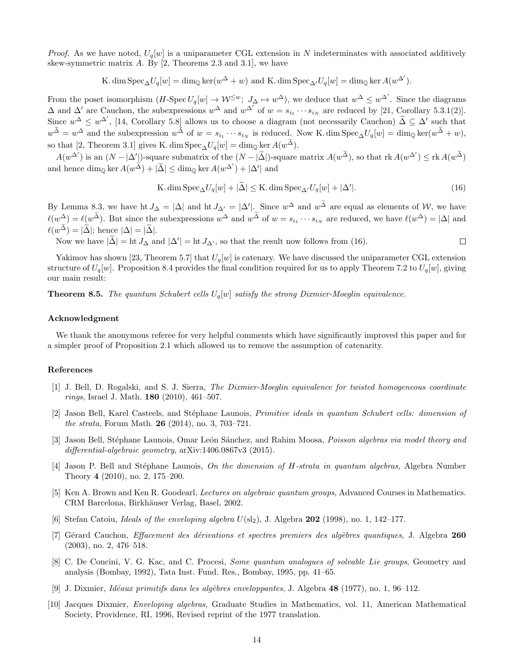<span id="page-14-6"></span>*Proof.* As we have noted,  $U_q[w]$  is a uniparameter CGL extension in N indeterminates with associated additively skew-symmetric matrix  $A$ . By [\[2,](#page-13-7) Theorems 2.3 and 3.1], we have

K. dim  $Spec_{\Delta}U_q[w] = dim_{\mathbb{Q}}\ker(w^{\Delta}+w)$  and K. dim  $Spec_{\Delta'}U_q[w] = dim_{\mathbb{Q}}\ker A(w^{\Delta'}).$ 

<span id="page-14-5"></span><span id="page-14-4"></span>From the poset isomorphism  $(H\text{-}Spec U_q[w] \to \mathcal{W}^{\leq w}; J_{\Delta} \mapsto w^{\Delta})$ , we deduce that  $w^{\Delta} \leq w^{\Delta'}$ . Since the diagrams  $\Delta$  and  $\Delta'$  are Cauchon, the subexpressions  $w^{\Delta}$  and  $w^{\Delta'}$  of  $w = s_{i_1} \cdots s_{i_N}$  are reduced by [\[21,](#page-14-7) Corollary 5.3.1(2)]. Since  $w^{\Delta} \leq w^{\Delta'}$ , [\[14,](#page-14-13) Corollary 5.8] allows us to choose a diagram (not necessarily Cauchon)  $\tilde{\Delta} \subseteq \Delta'$  such that  $w^{\widetilde{\Delta}} = w^{\Delta}$  and the subexpression  $w^{\widetilde{\Delta}}$  of  $w = s_{i_1} \cdots s_{i_N}$  is reduced. Now K. dim  $Spec_{\Delta} U_q[w] = dim_{\mathbb{Q}} ker(w^{\widetilde{\Delta}} + w)$ , so that [\[2,](#page-13-7) Theorem 3.1] gives K. dim Spec<sub>∆</sub>U<sub>q</sub>[w] = dim<sub>Q</sub> ker  $A(w^{\tilde{\Delta}})$ .

<span id="page-14-13"></span><span id="page-14-1"></span> $A(w^{\Delta'})$  is an  $(N - |\Delta'|)$ -square submatrix of the  $(N - |\tilde{\Delta}|)$ -square matrix  $A(w^{\tilde{\Delta}})$ , so that  $\text{rk } A(w^{\Delta'}) \leq \text{rk } A(w^{\tilde{\Delta}})$ and hence  $\dim_{\mathbb{Q}} \ker A(w^{\widetilde{\Delta}}) + |\widetilde{\Delta}| \leq \dim_{\mathbb{Q}} \ker A(w^{\Delta'}) + |\Delta'|$  and

K. dim 
$$
\text{Spec}_{\Delta} U_q[w] + |\tilde{\Delta}| \leq K
$$
. dim  $\text{Spec}_{\Delta'} U_q[w] + |\Delta'|$ . (16)

<span id="page-14-9"></span><span id="page-14-3"></span>By Lemma [8.3,](#page-12-0) we have ht  $J_{\Delta} = |\Delta|$  and ht  $J_{\Delta'} = |\Delta'|$ . Since  $w^{\Delta}$  and  $w^{\tilde{\Delta}}$  are equal as elements of W, we have  $\ell(w^{\Delta}) = \ell(w^{\widetilde{\Delta}})$ . But since the subexpressions  $w^{\Delta}$  and  $w^{\widetilde{\Delta}}$  of  $w = s_{i_1} \cdots s_{i_N}$  are reduced, we have  $\ell(w^{\Delta}) = |\Delta|$  and  $\ell(w^{\widetilde{\Delta}}) = |\widetilde{\Delta}|$ ; hence  $|\Delta| = |\widetilde{\Delta}|$ .

<span id="page-14-2"></span>Now we have  $|\tilde{\Delta}| =$  ht  $J_{\Delta}$  and  $|\Delta'| =$  ht  $J_{\Delta'}$ , so that the result now follows from [\(16\)](#page-13-10).  $\Box$ 

<span id="page-14-11"></span>Yakimov has shown [\[23,](#page-14-10) Theorem 5.7] that  $U_q[w]$  is catenary. We have discussed the uniparameter CGL extension structure of  $U_q[w]$ . Proposition [8.4](#page-12-1) provides the final condition required for us to apply Theorem [7.2](#page-10-3) to  $U_q[w]$ , giving our main result:

<span id="page-14-8"></span>**Theorem 8.5.** The quantum Schubert cells  $U_q[w]$  satisfy the strong Dixmier-Moeglin equivalence.

#### <span id="page-14-7"></span>Acknowledgment

<span id="page-14-10"></span><span id="page-14-0"></span>We thank the anonymous referee for very helpful comments which have significantly improved this paper and for a simpler proof of Proposition [2.1](#page-2-0) which allowed us to remove the assumption of catenarity.

#### <span id="page-14-12"></span>References

- [1] J. Bell, D. Rogalski, and S. J. Sierra, The Dixmier-Moeglin equivalence for twisted homogeneous coordinate rings, Israel J. Math. 180 (2010), 461–507.
- [2] Jason Bell, Karel Casteels, and Stéphane Launois, *Primitive ideals in quantum Schubert cells: dimension of* the strata, Forum Math. 26 (2014), no. 3, 703–721.
- [3] Jason Bell, Stéphane Launois, Omar León Sánchez, and Rahim Moosa, *Poisson algebras via model theory and* differential-algebraic geometry, arXiv:1406.0867v3 (2015).
- [4] Jason P. Bell and Stéphane Launois, On the dimension of H-strata in quantum algebras, Algebra Number Theory 4 (2010), no. 2, 175–200.
- [5] Ken A. Brown and Ken R. Goodearl, Lectures on algebraic quantum groups, Advanced Courses in Mathematics. CRM Barcelona, Birkh¨auser Verlag, Basel, 2002.
- [6] Stefan Catoiu, *Ideals of the enveloping algebra*  $U(\text{sl}_2)$ , J. Algebra **202** (1998), no. 1, 142–177.
- [7] Gérard Cauchon, *Effacement des dérivations et spectres premiers des algèbres quantiques*, J. Algebra 260 (2003), no. 2, 476–518.
- [8] C. De Concini, V. G. Kac, and C. Procesi, Some quantum analogues of solvable Lie groups, Geometry and analysis (Bombay, 1992), Tata Inst. Fund. Res., Bombay, 1995, pp. 41–65.
- [9] J. Dixmier, Id´eaux primitifs dans les alg`ebres enveloppantes, J. Algebra 48 (1977), no. 1, 96–112.
- [10] Jacques Dixmier, Enveloping algebras, Graduate Studies in Mathematics, vol. 11, American Mathematical Society, Providence, RI, 1996, Revised reprint of the 1977 translation.